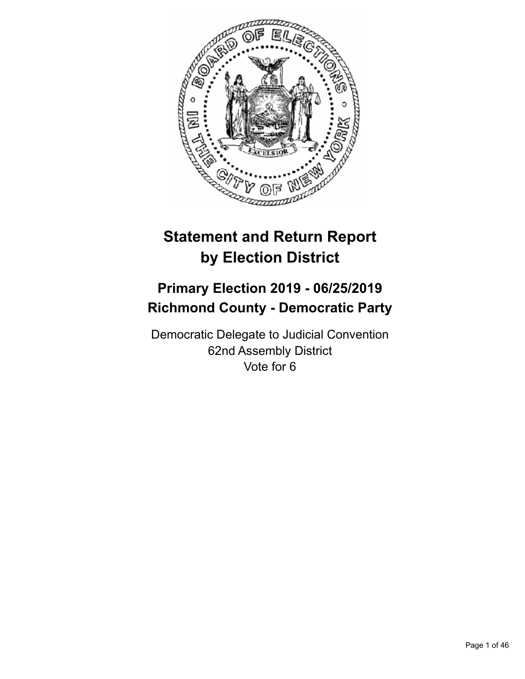

# **Statement and Return Report by Election District**

# **Primary Election 2019 - 06/25/2019 Richmond County - Democratic Party**

Democratic Delegate to Judicial Convention 62nd Assembly District Vote for 6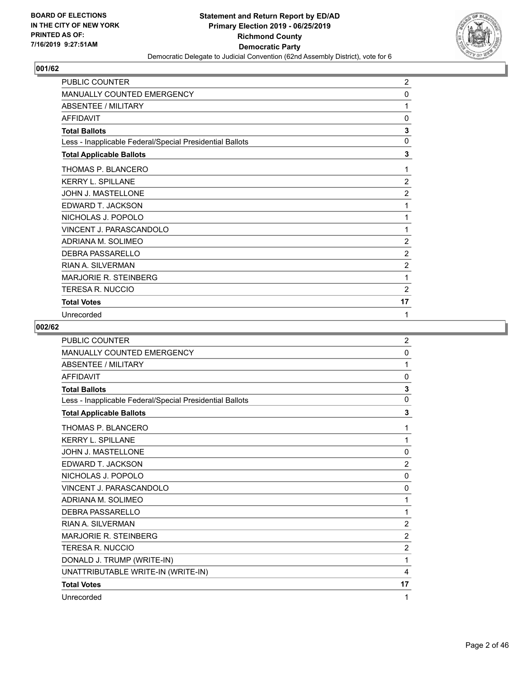

| <b>PUBLIC COUNTER</b>                                    | $\overline{2}$ |
|----------------------------------------------------------|----------------|
| <b>MANUALLY COUNTED EMERGENCY</b>                        | 0              |
| <b>ABSENTEE / MILITARY</b>                               | 1              |
| <b>AFFIDAVIT</b>                                         | 0              |
| <b>Total Ballots</b>                                     | 3              |
| Less - Inapplicable Federal/Special Presidential Ballots | $\mathbf{0}$   |
| <b>Total Applicable Ballots</b>                          | 3              |
| THOMAS P. BLANCERO                                       | 1              |
| <b>KERRY L. SPILLANE</b>                                 | $\overline{2}$ |
| JOHN J. MASTELLONE                                       | $\overline{2}$ |
| EDWARD T. JACKSON                                        | 1              |
| NICHOLAS J. POPOLO                                       | 1              |
| VINCENT J. PARASCANDOLO                                  | 1              |
| ADRIANA M. SOLIMEO                                       | $\overline{2}$ |
| <b>DEBRA PASSARELLO</b>                                  | $\overline{2}$ |
| <b>RIAN A. SILVERMAN</b>                                 | $\overline{c}$ |
| <b>MARJORIE R. STEINBERG</b>                             | 1              |
| TERESA R. NUCCIO                                         | 2              |
| <b>Total Votes</b>                                       | 17             |
| Unrecorded                                               | 1              |

| <b>PUBLIC COUNTER</b>                                    | $\overline{2}$ |
|----------------------------------------------------------|----------------|
| <b>MANUALLY COUNTED EMERGENCY</b>                        | $\mathbf{0}$   |
| <b>ABSENTEE / MILITARY</b>                               | 1              |
| <b>AFFIDAVIT</b>                                         | 0              |
| <b>Total Ballots</b>                                     | 3              |
| Less - Inapplicable Federal/Special Presidential Ballots | 0              |
| <b>Total Applicable Ballots</b>                          | 3              |
| <b>THOMAS P. BLANCERO</b>                                | 1              |
| <b>KERRY L. SPILLANE</b>                                 | 1              |
| JOHN J. MASTELLONE                                       | 0              |
| EDWARD T. JACKSON                                        | $\overline{2}$ |
| NICHOLAS J. POPOLO                                       | $\mathbf{0}$   |
| VINCENT J. PARASCANDOLO                                  | 0              |
| ADRIANA M. SOLIMEO                                       | 1              |
| DEBRA PASSARELLO                                         | 1              |
| RIAN A. SILVERMAN                                        | $\overline{2}$ |
| <b>MARJORIE R. STEINBERG</b>                             | $\overline{2}$ |
| TERESA R. NUCCIO                                         | $\overline{2}$ |
| DONALD J. TRUMP (WRITE-IN)                               | 1              |
| UNATTRIBUTABLE WRITE-IN (WRITE-IN)                       | 4              |
| <b>Total Votes</b>                                       | 17             |
| Unrecorded                                               | 1              |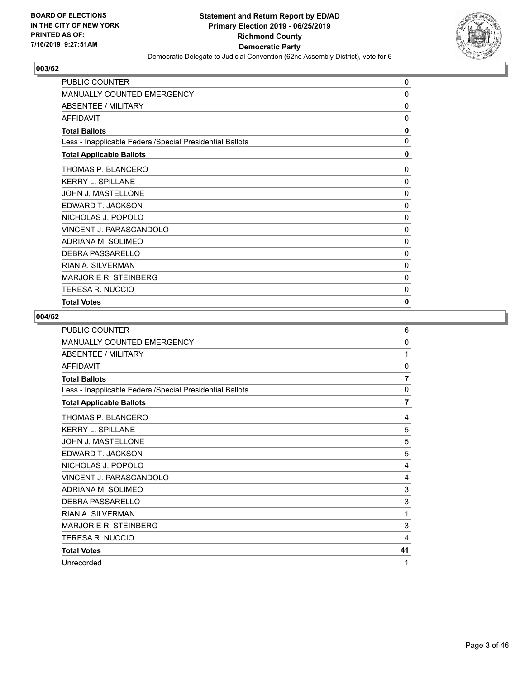

| PUBLIC COUNTER                                           | 0            |
|----------------------------------------------------------|--------------|
| <b>MANUALLY COUNTED EMERGENCY</b>                        | 0            |
| <b>ABSENTEE / MILITARY</b>                               | 0            |
| <b>AFFIDAVIT</b>                                         | 0            |
| <b>Total Ballots</b>                                     | 0            |
| Less - Inapplicable Federal/Special Presidential Ballots | 0            |
| <b>Total Applicable Ballots</b>                          | 0            |
| THOMAS P. BLANCERO                                       | 0            |
| <b>KERRY L. SPILLANE</b>                                 | $\mathbf{0}$ |
| JOHN J. MASTELLONE                                       | $\mathbf{0}$ |
| EDWARD T. JACKSON                                        | 0            |
| NICHOLAS J. POPOLO                                       | 0            |
| VINCENT J. PARASCANDOLO                                  | 0            |
| ADRIANA M. SOLIMEO                                       | 0            |
| <b>DEBRA PASSARELLO</b>                                  | 0            |
| <b>RIAN A. SILVERMAN</b>                                 | 0            |
| <b>MARJORIE R. STEINBERG</b>                             | 0            |
| <b>TERESA R. NUCCIO</b>                                  | 0            |
| <b>Total Votes</b>                                       | 0            |

| PUBLIC COUNTER                                           | 6              |
|----------------------------------------------------------|----------------|
| <b>MANUALLY COUNTED EMERGENCY</b>                        | 0              |
| ABSENTEE / MILITARY                                      | 1              |
| <b>AFFIDAVIT</b>                                         | $\mathbf{0}$   |
| <b>Total Ballots</b>                                     | 7              |
| Less - Inapplicable Federal/Special Presidential Ballots | 0              |
| <b>Total Applicable Ballots</b>                          | $\overline{7}$ |
| THOMAS P. BLANCERO                                       | 4              |
| <b>KERRY L. SPILLANE</b>                                 | 5              |
| <b>JOHN J. MASTELLONE</b>                                | 5              |
| EDWARD T. JACKSON                                        | 5              |
| NICHOLAS J. POPOLO                                       | 4              |
| VINCENT J. PARASCANDOLO                                  | 4              |
| ADRIANA M. SOLIMEO                                       | 3              |
| DEBRA PASSARELLO                                         | 3              |
| <b>RIAN A. SILVERMAN</b>                                 | 1              |
| <b>MARJORIE R. STEINBERG</b>                             | 3              |
| <b>TERESA R. NUCCIO</b>                                  | 4              |
| <b>Total Votes</b>                                       | 41             |
| Unrecorded                                               | 1              |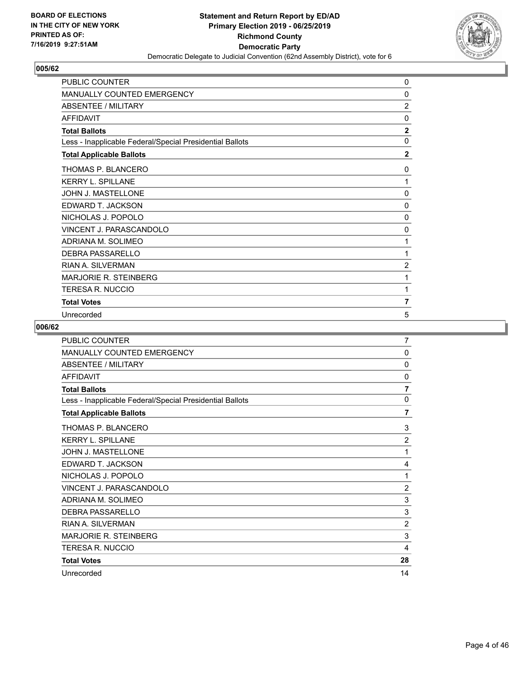

| <b>PUBLIC COUNTER</b>                                    | 0              |
|----------------------------------------------------------|----------------|
| MANUALLY COUNTED EMERGENCY                               | 0              |
| <b>ABSENTEE / MILITARY</b>                               | $\overline{2}$ |
| <b>AFFIDAVIT</b>                                         | $\mathbf{0}$   |
| <b>Total Ballots</b>                                     | $\mathbf{2}$   |
| Less - Inapplicable Federal/Special Presidential Ballots | 0              |
| <b>Total Applicable Ballots</b>                          | $\overline{2}$ |
| THOMAS P. BLANCERO                                       | 0              |
| <b>KERRY L. SPILLANE</b>                                 | 1              |
| JOHN J. MASTELLONE                                       | $\mathbf{0}$   |
| EDWARD T. JACKSON                                        | 0              |
| NICHOLAS J. POPOLO                                       | 0              |
| VINCENT J. PARASCANDOLO                                  | 0              |
| ADRIANA M. SOLIMEO                                       | 1              |
| <b>DEBRA PASSARELLO</b>                                  | 1              |
| <b>RIAN A. SILVERMAN</b>                                 | $\overline{2}$ |
| <b>MARJORIE R. STEINBERG</b>                             | 1              |
| <b>TERESA R. NUCCIO</b>                                  | 1              |
| <b>Total Votes</b>                                       | 7              |
| Unrecorded                                               | 5              |

| <b>PUBLIC COUNTER</b>                                    | 7              |
|----------------------------------------------------------|----------------|
| MANUALLY COUNTED EMERGENCY                               | 0              |
| <b>ABSENTEE / MILITARY</b>                               | $\mathbf{0}$   |
| <b>AFFIDAVIT</b>                                         | $\mathbf{0}$   |
| <b>Total Ballots</b>                                     | $\overline{7}$ |
| Less - Inapplicable Federal/Special Presidential Ballots | 0              |
| <b>Total Applicable Ballots</b>                          | $\overline{7}$ |
| THOMAS P. BLANCERO                                       | 3              |
| <b>KERRY L. SPILLANE</b>                                 | $\overline{2}$ |
| <b>JOHN J. MASTELLONE</b>                                | 1              |
| EDWARD T. JACKSON                                        | 4              |
| NICHOLAS J. POPOLO                                       | 1              |
| VINCENT J. PARASCANDOLO                                  | $\overline{2}$ |
| ADRIANA M. SOLIMEO                                       | 3              |
| DEBRA PASSARELLO                                         | 3              |
| <b>RIAN A. SILVERMAN</b>                                 | $\overline{2}$ |
| <b>MARJORIE R. STEINBERG</b>                             | 3              |
| <b>TERESA R. NUCCIO</b>                                  | 4              |
| <b>Total Votes</b>                                       | 28             |
| Unrecorded                                               | 14             |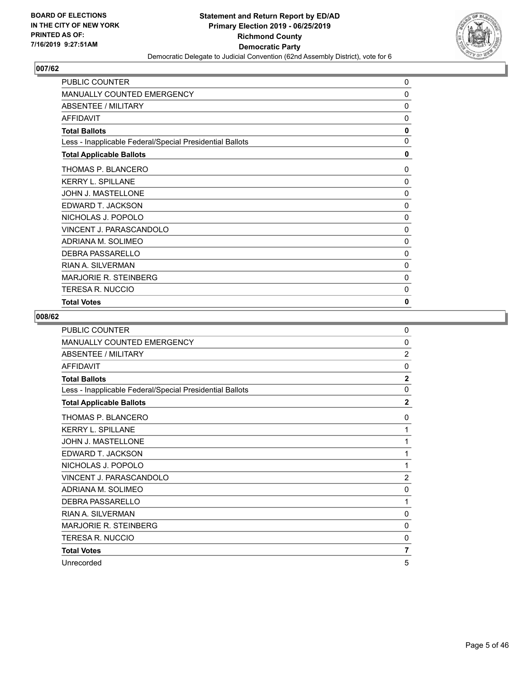

| PUBLIC COUNTER                                           | 0            |
|----------------------------------------------------------|--------------|
| <b>MANUALLY COUNTED EMERGENCY</b>                        | 0            |
| <b>ABSENTEE / MILITARY</b>                               | 0            |
| <b>AFFIDAVIT</b>                                         | 0            |
| <b>Total Ballots</b>                                     | 0            |
| Less - Inapplicable Federal/Special Presidential Ballots | 0            |
| <b>Total Applicable Ballots</b>                          | 0            |
| THOMAS P. BLANCERO                                       | 0            |
| <b>KERRY L. SPILLANE</b>                                 | $\Omega$     |
| JOHN J. MASTELLONE                                       | $\mathbf{0}$ |
| EDWARD T. JACKSON                                        | $\mathbf{0}$ |
| NICHOLAS J. POPOLO                                       | 0            |
| VINCENT J. PARASCANDOLO                                  | 0            |
| ADRIANA M. SOLIMEO                                       | 0            |
| <b>DEBRA PASSARELLO</b>                                  | 0            |
| <b>RIAN A. SILVERMAN</b>                                 | 0            |
| <b>MARJORIE R. STEINBERG</b>                             | 0            |
| <b>TERESA R. NUCCIO</b>                                  | 0            |
| <b>Total Votes</b>                                       | 0            |

| <b>PUBLIC COUNTER</b>                                    | 0              |
|----------------------------------------------------------|----------------|
| <b>MANUALLY COUNTED EMERGENCY</b>                        | 0              |
| ABSENTEE / MILITARY                                      | $\overline{2}$ |
| <b>AFFIDAVIT</b>                                         | $\Omega$       |
| <b>Total Ballots</b>                                     | $\overline{2}$ |
| Less - Inapplicable Federal/Special Presidential Ballots | $\mathbf{0}$   |
| <b>Total Applicable Ballots</b>                          | $\overline{2}$ |
| THOMAS P. BLANCERO                                       | 0              |
| <b>KERRY L. SPILLANE</b>                                 | 1              |
| <b>JOHN J. MASTELLONE</b>                                | 1              |
| EDWARD T. JACKSON                                        | 1              |
| NICHOLAS J. POPOLO                                       | 1              |
| VINCENT J. PARASCANDOLO                                  | $\overline{2}$ |
| ADRIANA M. SOLIMEO                                       | 0              |
| <b>DEBRA PASSARELLO</b>                                  | 1              |
| <b>RIAN A. SILVERMAN</b>                                 | 0              |
| MARJORIE R. STEINBERG                                    | $\mathbf{0}$   |
| TERESA R. NUCCIO                                         | 0              |
| <b>Total Votes</b>                                       | 7              |
| Unrecorded                                               | 5              |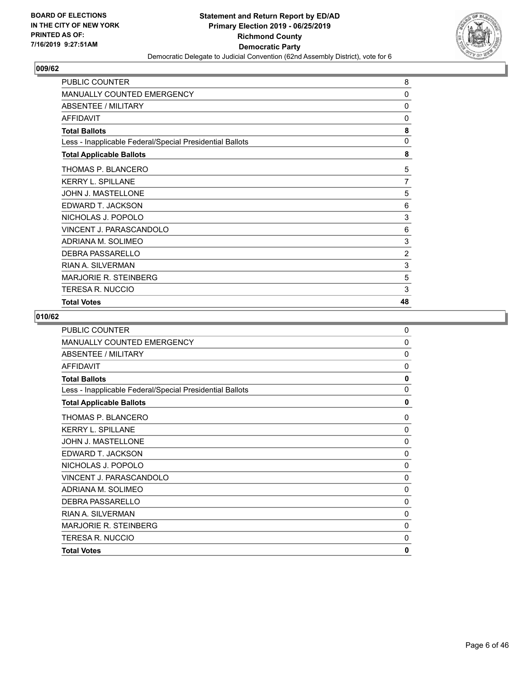

| PUBLIC COUNTER                                           | 8              |
|----------------------------------------------------------|----------------|
| <b>MANUALLY COUNTED EMERGENCY</b>                        | 0              |
| ABSENTEE / MILITARY                                      | 0              |
| <b>AFFIDAVIT</b>                                         | 0              |
| <b>Total Ballots</b>                                     | 8              |
| Less - Inapplicable Federal/Special Presidential Ballots | $\mathbf{0}$   |
| <b>Total Applicable Ballots</b>                          | 8              |
| THOMAS P. BLANCERO                                       | 5              |
| <b>KERRY L. SPILLANE</b>                                 | $\overline{7}$ |
| JOHN J. MASTELLONE                                       | 5              |
| EDWARD T. JACKSON                                        | 6              |
| NICHOLAS J. POPOLO                                       | 3              |
| VINCENT J. PARASCANDOLO                                  | 6              |
| ADRIANA M. SOLIMEO                                       | 3              |
| <b>DEBRA PASSARELLO</b>                                  | $\overline{2}$ |
| <b>RIAN A. SILVERMAN</b>                                 | 3              |
| MARJORIE R. STEINBERG                                    | 5              |
| <b>TERESA R. NUCCIO</b>                                  | 3              |
| <b>Total Votes</b>                                       | 48             |

| <b>PUBLIC COUNTER</b>                                    | $\mathbf 0$  |
|----------------------------------------------------------|--------------|
| MANUALLY COUNTED EMERGENCY                               | 0            |
| ABSENTEE / MILITARY                                      | 0            |
| <b>AFFIDAVIT</b>                                         | 0            |
| <b>Total Ballots</b>                                     | $\mathbf{0}$ |
| Less - Inapplicable Federal/Special Presidential Ballots | 0            |
| <b>Total Applicable Ballots</b>                          | 0            |
| THOMAS P. BLANCERO                                       | 0            |
| <b>KERRY L. SPILLANE</b>                                 | 0            |
| <b>JOHN J. MASTELLONE</b>                                | $\Omega$     |
| EDWARD T. JACKSON                                        | $\mathbf{0}$ |
| NICHOLAS J. POPOLO                                       | $\Omega$     |
| VINCENT J. PARASCANDOLO                                  | $\Omega$     |
| ADRIANA M. SOLIMEO                                       | 0            |
| DEBRA PASSARELLO                                         | $\Omega$     |
| <b>RIAN A. SILVERMAN</b>                                 | $\Omega$     |
| <b>MARJORIE R. STEINBERG</b>                             | $\mathbf{0}$ |
| TERESA R. NUCCIO                                         | $\Omega$     |
| <b>Total Votes</b>                                       | 0            |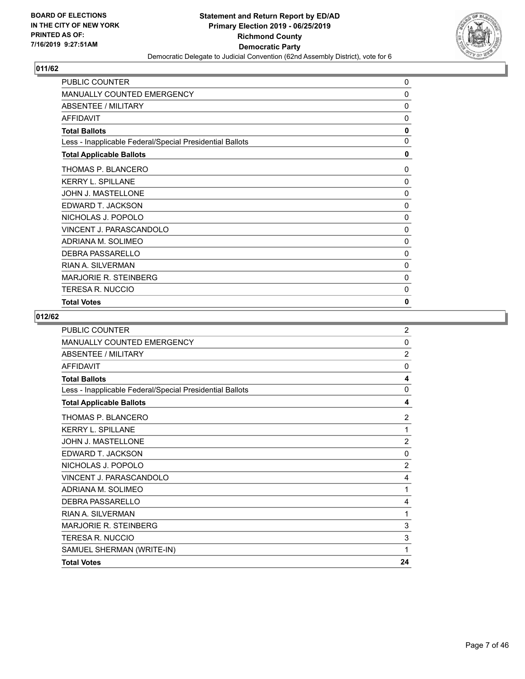

| PUBLIC COUNTER                                           | 0            |
|----------------------------------------------------------|--------------|
| <b>MANUALLY COUNTED EMERGENCY</b>                        | 0            |
| <b>ABSENTEE / MILITARY</b>                               | 0            |
| <b>AFFIDAVIT</b>                                         | 0            |
| <b>Total Ballots</b>                                     | 0            |
| Less - Inapplicable Federal/Special Presidential Ballots | 0            |
| <b>Total Applicable Ballots</b>                          | 0            |
| THOMAS P. BLANCERO                                       | 0            |
| <b>KERRY L. SPILLANE</b>                                 | $\mathbf{0}$ |
| JOHN J. MASTELLONE                                       | $\mathbf{0}$ |
| EDWARD T. JACKSON                                        | 0            |
| NICHOLAS J. POPOLO                                       | 0            |
| VINCENT J. PARASCANDOLO                                  | 0            |
| ADRIANA M. SOLIMEO                                       | 0            |
| <b>DEBRA PASSARELLO</b>                                  | 0            |
| <b>RIAN A. SILVERMAN</b>                                 | 0            |
| <b>MARJORIE R. STEINBERG</b>                             | 0            |
| <b>TERESA R. NUCCIO</b>                                  | 0            |
| <b>Total Votes</b>                                       | 0            |

| <b>PUBLIC COUNTER</b>                                    | $\overline{2}$ |
|----------------------------------------------------------|----------------|
| <b>MANUALLY COUNTED EMERGENCY</b>                        | $\Omega$       |
| ABSENTEE / MILITARY                                      | $\overline{2}$ |
| <b>AFFIDAVIT</b>                                         | $\mathbf{0}$   |
| <b>Total Ballots</b>                                     | 4              |
| Less - Inapplicable Federal/Special Presidential Ballots | $\mathbf{0}$   |
| <b>Total Applicable Ballots</b>                          | 4              |
| THOMAS P. BLANCERO                                       | $\overline{2}$ |
| <b>KERRY L. SPILLANE</b>                                 | 1              |
| <b>JOHN J. MASTELLONE</b>                                | $\overline{2}$ |
| EDWARD T. JACKSON                                        | $\mathbf{0}$   |
| NICHOLAS J. POPOLO                                       | $\overline{2}$ |
| VINCENT J. PARASCANDOLO                                  | 4              |
| ADRIANA M. SOLIMEO                                       | 1              |
| DEBRA PASSARELLO                                         | 4              |
| <b>RIAN A. SILVERMAN</b>                                 | 1              |
| <b>MARJORIE R. STEINBERG</b>                             | 3              |
| <b>TERESA R. NUCCIO</b>                                  | 3              |
| SAMUEL SHERMAN (WRITE-IN)                                | 1              |
| <b>Total Votes</b>                                       | 24             |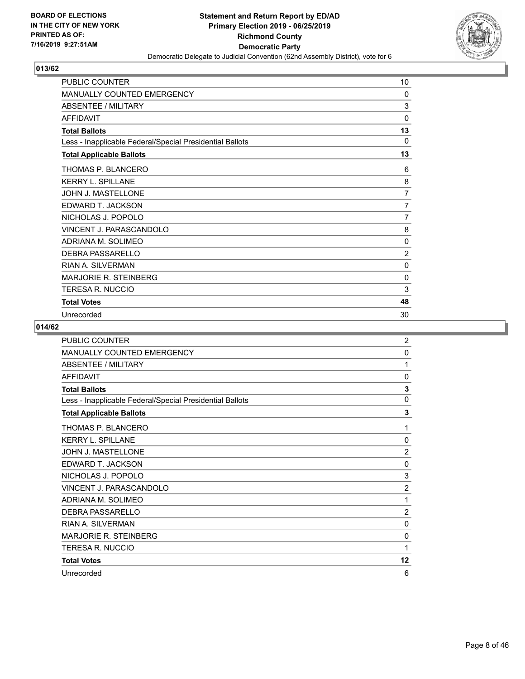

| <b>PUBLIC COUNTER</b>                                    | 10             |
|----------------------------------------------------------|----------------|
| <b>MANUALLY COUNTED EMERGENCY</b>                        | 0              |
| <b>ABSENTEE / MILITARY</b>                               | 3              |
| <b>AFFIDAVIT</b>                                         | 0              |
| <b>Total Ballots</b>                                     | 13             |
| Less - Inapplicable Federal/Special Presidential Ballots | 0              |
| <b>Total Applicable Ballots</b>                          | 13             |
| THOMAS P. BLANCERO                                       | 6              |
| <b>KERRY L. SPILLANE</b>                                 | 8              |
| <b>JOHN J. MASTELLONE</b>                                | 7              |
| EDWARD T. JACKSON                                        | $\overline{7}$ |
| NICHOLAS J. POPOLO                                       | $\overline{7}$ |
| VINCENT J. PARASCANDOLO                                  | 8              |
| ADRIANA M. SOLIMEO                                       | 0              |
| <b>DEBRA PASSARELLO</b>                                  | $\overline{c}$ |
| <b>RIAN A. SILVERMAN</b>                                 | 0              |
| <b>MARJORIE R. STEINBERG</b>                             | 0              |
| <b>TERESA R. NUCCIO</b>                                  | 3              |
| <b>Total Votes</b>                                       | 48             |
| Unrecorded                                               | 30             |

| PUBLIC COUNTER                                           | $\overline{2}$ |
|----------------------------------------------------------|----------------|
| MANUALLY COUNTED EMERGENCY                               | 0              |
| <b>ABSENTEE / MILITARY</b>                               | 1              |
| <b>AFFIDAVIT</b>                                         | $\mathbf{0}$   |
| <b>Total Ballots</b>                                     | 3              |
| Less - Inapplicable Federal/Special Presidential Ballots | 0              |
| <b>Total Applicable Ballots</b>                          | 3              |
| THOMAS P. BLANCERO                                       | 1              |
| <b>KERRY L. SPILLANE</b>                                 | $\mathbf{0}$   |
| <b>JOHN J. MASTELLONE</b>                                | $\overline{2}$ |
| EDWARD T. JACKSON                                        | 0              |
| NICHOLAS J. POPOLO                                       | 3              |
| VINCENT J. PARASCANDOLO                                  | $\overline{2}$ |
| ADRIANA M. SOLIMEO                                       | 1              |
| <b>DEBRA PASSARELLO</b>                                  | $\overline{2}$ |
| <b>RIAN A. SILVERMAN</b>                                 | $\mathbf{0}$   |
| <b>MARJORIE R. STEINBERG</b>                             | 0              |
| <b>TERESA R. NUCCIO</b>                                  | 1              |
| <b>Total Votes</b>                                       | 12             |
| Unrecorded                                               | 6              |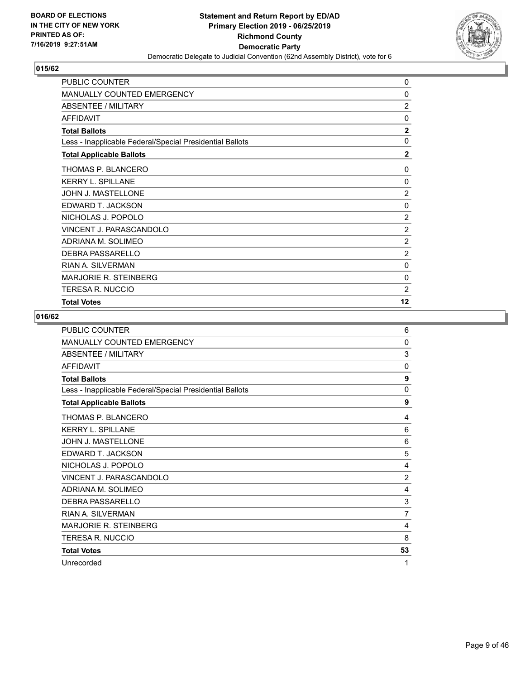

| PUBLIC COUNTER                                           | 0              |
|----------------------------------------------------------|----------------|
| <b>MANUALLY COUNTED EMERGENCY</b>                        | 0              |
| ABSENTEE / MILITARY                                      | $\overline{2}$ |
| <b>AFFIDAVIT</b>                                         | 0              |
| <b>Total Ballots</b>                                     | $\overline{2}$ |
| Less - Inapplicable Federal/Special Presidential Ballots | $\mathbf{0}$   |
| <b>Total Applicable Ballots</b>                          | $\mathbf{2}$   |
| THOMAS P. BLANCERO                                       | 0              |
| <b>KERRY L. SPILLANE</b>                                 | $\Omega$       |
| JOHN J. MASTELLONE                                       | $\overline{2}$ |
| EDWARD T. JACKSON                                        | 0              |
| NICHOLAS J. POPOLO                                       | $\overline{2}$ |
| VINCENT J. PARASCANDOLO                                  | $\overline{2}$ |
| ADRIANA M. SOLIMEO                                       | $\overline{c}$ |
| <b>DEBRA PASSARELLO</b>                                  | $\overline{2}$ |
| <b>RIAN A. SILVERMAN</b>                                 | 0              |
| MARJORIE R. STEINBERG                                    | 0              |
| <b>TERESA R. NUCCIO</b>                                  | $\overline{2}$ |
| <b>Total Votes</b>                                       | 12             |

| <b>PUBLIC COUNTER</b>                                    | 6              |
|----------------------------------------------------------|----------------|
| <b>MANUALLY COUNTED EMERGENCY</b>                        | 0              |
| ABSENTEE / MILITARY                                      | 3              |
| <b>AFFIDAVIT</b>                                         | $\Omega$       |
| <b>Total Ballots</b>                                     | 9              |
| Less - Inapplicable Federal/Special Presidential Ballots | $\mathbf{0}$   |
| <b>Total Applicable Ballots</b>                          | 9              |
| THOMAS P. BLANCERO                                       | 4              |
| <b>KERRY L. SPILLANE</b>                                 | 6              |
| <b>JOHN J. MASTELLONE</b>                                | 6              |
| EDWARD T. JACKSON                                        | 5              |
| NICHOLAS J. POPOLO                                       | 4              |
| VINCENT J. PARASCANDOLO                                  | $\overline{2}$ |
| ADRIANA M. SOLIMEO                                       | 4              |
| <b>DEBRA PASSARELLO</b>                                  | 3              |
| <b>RIAN A. SILVERMAN</b>                                 | $\overline{7}$ |
| <b>MARJORIE R. STEINBERG</b>                             | 4              |
| TERESA R. NUCCIO                                         | 8              |
| <b>Total Votes</b>                                       | 53             |
| Unrecorded                                               | 1              |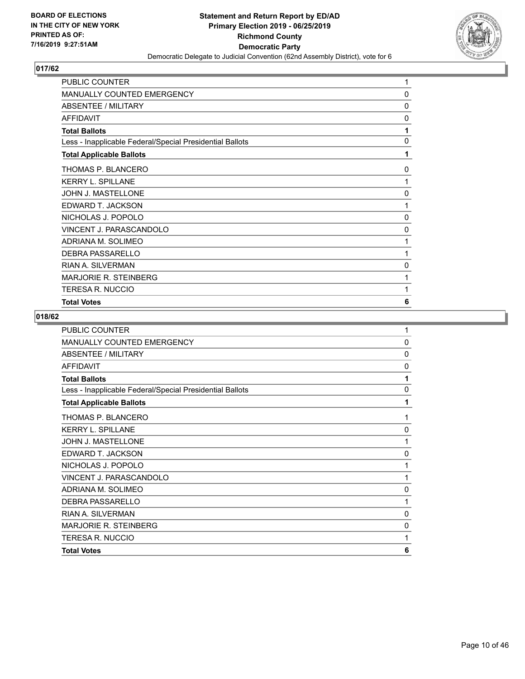

| PUBLIC COUNTER                                           | 1            |
|----------------------------------------------------------|--------------|
| MANUALLY COUNTED EMERGENCY                               | 0            |
| <b>ABSENTEE / MILITARY</b>                               | 0            |
| <b>AFFIDAVIT</b>                                         | 0            |
| <b>Total Ballots</b>                                     | 1            |
| Less - Inapplicable Federal/Special Presidential Ballots | $\mathbf{0}$ |
| <b>Total Applicable Ballots</b>                          | 1            |
| THOMAS P. BLANCERO                                       | 0            |
| <b>KERRY L. SPILLANE</b>                                 | 1            |
| JOHN J. MASTELLONE                                       | $\mathbf{0}$ |
| EDWARD T. JACKSON                                        | 1            |
| NICHOLAS J. POPOLO                                       | 0            |
| VINCENT J. PARASCANDOLO                                  | 0            |
| ADRIANA M. SOLIMEO                                       | 1            |
| DEBRA PASSARELLO                                         | 1            |
| <b>RIAN A. SILVERMAN</b>                                 | 0            |
| MARJORIE R. STEINBERG                                    | 1            |
| <b>TERESA R. NUCCIO</b>                                  | 1            |
| <b>Total Votes</b>                                       | 6            |

| <b>PUBLIC COUNTER</b>                                    | 1            |
|----------------------------------------------------------|--------------|
| MANUALLY COUNTED EMERGENCY                               | $\mathbf{0}$ |
| ABSENTEE / MILITARY                                      | $\Omega$     |
| AFFIDAVIT                                                | 0            |
| <b>Total Ballots</b>                                     | 1            |
| Less - Inapplicable Federal/Special Presidential Ballots | $\mathbf{0}$ |
| <b>Total Applicable Ballots</b>                          | 1            |
| THOMAS P. BLANCERO                                       | 1            |
| <b>KERRY L. SPILLANE</b>                                 | 0            |
| <b>JOHN J. MASTELLONE</b>                                | 1            |
| EDWARD T. JACKSON                                        | 0            |
| NICHOLAS J. POPOLO                                       | 1            |
| VINCENT J. PARASCANDOLO                                  | 1            |
| ADRIANA M. SOLIMEO                                       | 0            |
| DEBRA PASSARELLO                                         | 1            |
| <b>RIAN A. SILVERMAN</b>                                 | 0            |
| <b>MARJORIE R. STEINBERG</b>                             | 0            |
| <b>TERESA R. NUCCIO</b>                                  | 1            |
| <b>Total Votes</b>                                       | 6            |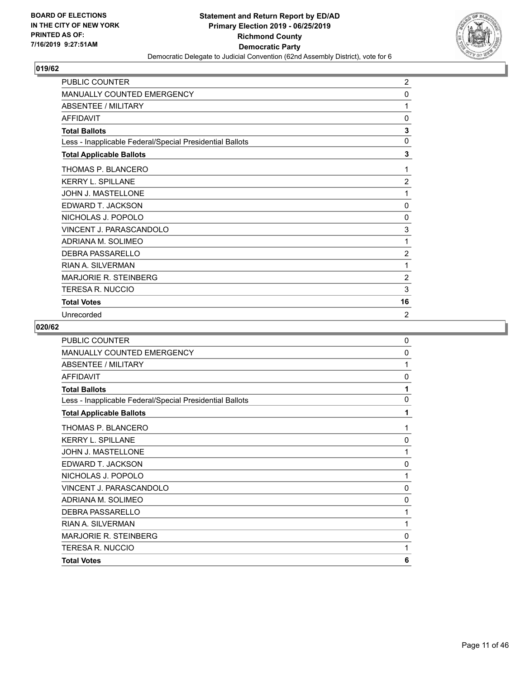

| <b>PUBLIC COUNTER</b>                                    | $\overline{2}$ |
|----------------------------------------------------------|----------------|
| MANUALLY COUNTED EMERGENCY                               | 0              |
| <b>ABSENTEE / MILITARY</b>                               | 1              |
| <b>AFFIDAVIT</b>                                         | $\mathbf{0}$   |
| <b>Total Ballots</b>                                     | 3              |
| Less - Inapplicable Federal/Special Presidential Ballots | $\mathbf 0$    |
| <b>Total Applicable Ballots</b>                          | 3              |
| THOMAS P. BLANCERO                                       | 1              |
| <b>KERRY L. SPILLANE</b>                                 | $\overline{2}$ |
| JOHN J. MASTELLONE                                       | 1              |
| EDWARD T. JACKSON                                        | 0              |
| NICHOLAS J. POPOLO                                       | 0              |
| VINCENT J. PARASCANDOLO                                  | 3              |
| ADRIANA M. SOLIMEO                                       | 1              |
| DEBRA PASSARELLO                                         | 2              |
| <b>RIAN A. SILVERMAN</b>                                 | 1              |
| <b>MARJORIE R. STEINBERG</b>                             | $\overline{2}$ |
| TERESA R. NUCCIO                                         | 3              |
| <b>Total Votes</b>                                       | 16             |
| Unrecorded                                               | $\overline{2}$ |

| <b>PUBLIC COUNTER</b>                                    | $\mathbf{0}$ |
|----------------------------------------------------------|--------------|
| <b>MANUALLY COUNTED EMERGENCY</b>                        | $\mathbf{0}$ |
| ABSENTEE / MILITARY                                      | 1            |
| <b>AFFIDAVIT</b>                                         | 0            |
| <b>Total Ballots</b>                                     | 1            |
| Less - Inapplicable Federal/Special Presidential Ballots | $\mathbf{0}$ |
| <b>Total Applicable Ballots</b>                          | 1            |
| THOMAS P. BLANCERO                                       | 1            |
| <b>KERRY L. SPILLANE</b>                                 | 0            |
| <b>JOHN J. MASTELLONE</b>                                | 1            |
| EDWARD T. JACKSON                                        | 0            |
| NICHOLAS J. POPOLO                                       | 1            |
| VINCENT J. PARASCANDOLO                                  | 0            |
| ADRIANA M. SOLIMEO                                       | 0            |
| <b>DEBRA PASSARELLO</b>                                  | 1            |
| <b>RIAN A. SILVERMAN</b>                                 | 1            |
| <b>MARJORIE R. STEINBERG</b>                             | 0            |
| <b>TERESA R. NUCCIO</b>                                  | 1            |
| <b>Total Votes</b>                                       | 6            |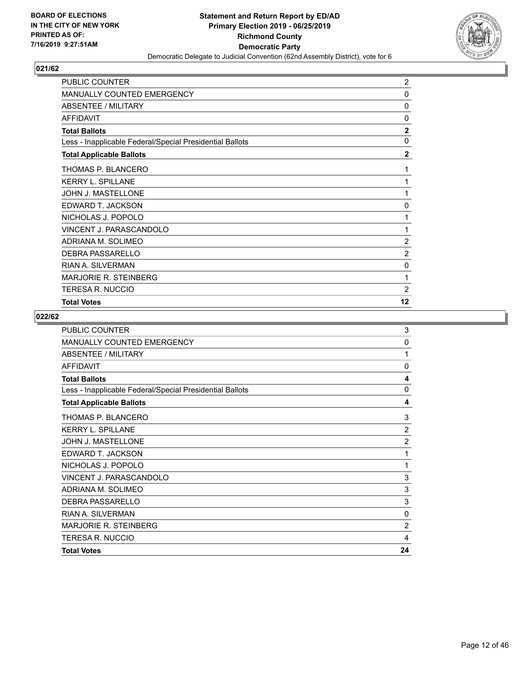

| PUBLIC COUNTER                                           | $\overline{2}$ |
|----------------------------------------------------------|----------------|
| <b>MANUALLY COUNTED EMERGENCY</b>                        | 0              |
| <b>ABSENTEE / MILITARY</b>                               | 0              |
| <b>AFFIDAVIT</b>                                         | 0              |
| <b>Total Ballots</b>                                     | $\overline{2}$ |
| Less - Inapplicable Federal/Special Presidential Ballots | $\mathbf{0}$   |
| <b>Total Applicable Ballots</b>                          | $\mathbf{2}$   |
| THOMAS P. BLANCERO                                       | 1              |
| <b>KERRY L. SPILLANE</b>                                 | 1              |
| JOHN J. MASTELLONE                                       | 1              |
| EDWARD T. JACKSON                                        | 0              |
| NICHOLAS J. POPOLO                                       | 1              |
| VINCENT J. PARASCANDOLO                                  | 1              |
| ADRIANA M. SOLIMEO                                       | $\overline{2}$ |
| <b>DEBRA PASSARELLO</b>                                  | $\overline{2}$ |
| <b>RIAN A. SILVERMAN</b>                                 | 0              |
| <b>MARJORIE R. STEINBERG</b>                             | 1              |
| <b>TERESA R. NUCCIO</b>                                  | $\overline{2}$ |
| <b>Total Votes</b>                                       | 12             |

| VINCENT J. PARASCANDOLO                                  | 3                       |
|----------------------------------------------------------|-------------------------|
| NICHOLAS J. POPOLO                                       | 1                       |
| EDWARD T. JACKSON                                        | 1                       |
| <b>JOHN J. MASTELLONE</b>                                | $\overline{2}$          |
| <b>KERRY L. SPILLANE</b>                                 | $\overline{2}$          |
| THOMAS P. BLANCERO                                       | 3                       |
| <b>Total Applicable Ballots</b>                          | 4                       |
| Less - Inapplicable Federal/Special Presidential Ballots | 0                       |
| <b>Total Ballots</b>                                     | $\overline{\mathbf{4}}$ |
| <b>AFFIDAVIT</b>                                         | 0                       |
| <b>ABSENTEE / MILITARY</b>                               | 1                       |
| MANUALLY COUNTED EMERGENCY                               | $\mathbf{0}$            |
| <b>PUBLIC COUNTER</b>                                    | 3                       |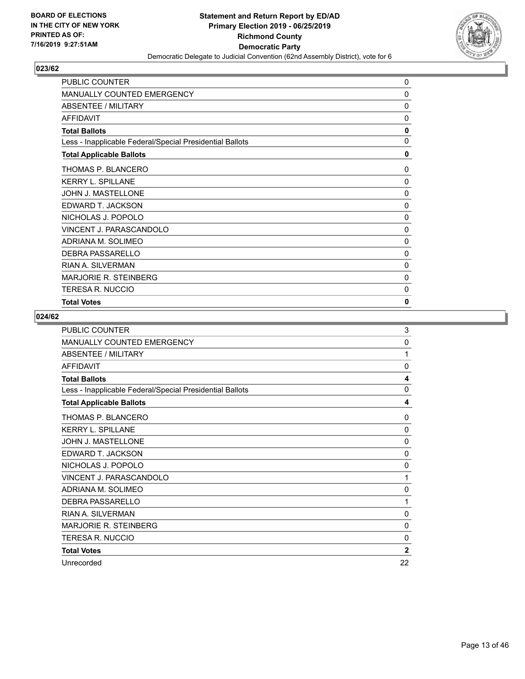

| PUBLIC COUNTER                                           | 0            |
|----------------------------------------------------------|--------------|
| <b>MANUALLY COUNTED EMERGENCY</b>                        | 0            |
| <b>ABSENTEE / MILITARY</b>                               | 0            |
| <b>AFFIDAVIT</b>                                         | 0            |
| <b>Total Ballots</b>                                     | 0            |
| Less - Inapplicable Federal/Special Presidential Ballots | 0            |
| <b>Total Applicable Ballots</b>                          | 0            |
| THOMAS P. BLANCERO                                       | 0            |
| <b>KERRY L. SPILLANE</b>                                 | $\Omega$     |
| JOHN J. MASTELLONE                                       | $\mathbf{0}$ |
| EDWARD T. JACKSON                                        | $\mathbf{0}$ |
| NICHOLAS J. POPOLO                                       | 0            |
| VINCENT J. PARASCANDOLO                                  | 0            |
| ADRIANA M. SOLIMEO                                       | 0            |
| <b>DEBRA PASSARELLO</b>                                  | 0            |
| <b>RIAN A. SILVERMAN</b>                                 | 0            |
| <b>MARJORIE R. STEINBERG</b>                             | 0            |
| <b>TERESA R. NUCCIO</b>                                  | 0            |
| <b>Total Votes</b>                                       | 0            |

| PUBLIC COUNTER                                           | 3            |
|----------------------------------------------------------|--------------|
| <b>MANUALLY COUNTED EMERGENCY</b>                        | 0            |
| ABSENTEE / MILITARY                                      | 1            |
| <b>AFFIDAVIT</b>                                         | $\mathbf{0}$ |
| <b>Total Ballots</b>                                     | 4            |
| Less - Inapplicable Federal/Special Presidential Ballots | 0            |
| <b>Total Applicable Ballots</b>                          | 4            |
| THOMAS P. BLANCERO                                       | 0            |
| <b>KERRY L. SPILLANE</b>                                 | $\mathbf{0}$ |
| <b>JOHN J. MASTELLONE</b>                                | $\mathbf{0}$ |
| EDWARD T. JACKSON                                        | 0            |
| NICHOLAS J. POPOLO                                       | $\mathbf{0}$ |
| VINCENT J. PARASCANDOLO                                  | 1            |
| ADRIANA M. SOLIMEO                                       | 0            |
| DEBRA PASSARELLO                                         | 1            |
| <b>RIAN A. SILVERMAN</b>                                 | $\mathbf{0}$ |
| <b>MARJORIE R. STEINBERG</b>                             | $\mathbf{0}$ |
| <b>TERESA R. NUCCIO</b>                                  | $\mathbf{0}$ |
| <b>Total Votes</b>                                       | $\mathbf{2}$ |
| Unrecorded                                               | 22           |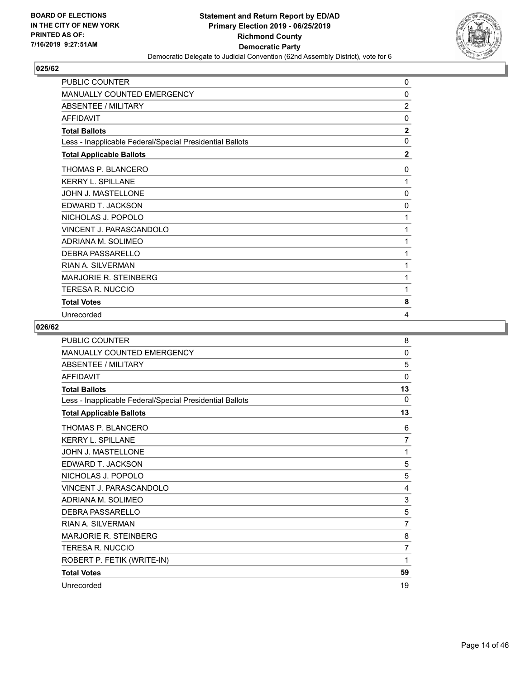

| PUBLIC COUNTER                                           | 0              |
|----------------------------------------------------------|----------------|
| <b>MANUALLY COUNTED EMERGENCY</b>                        | 0              |
| <b>ABSENTEE / MILITARY</b>                               | $\overline{2}$ |
| <b>AFFIDAVIT</b>                                         | $\mathbf{0}$   |
| <b>Total Ballots</b>                                     | $\mathbf{2}$   |
| Less - Inapplicable Federal/Special Presidential Ballots | $\mathbf{0}$   |
| <b>Total Applicable Ballots</b>                          | $\overline{2}$ |
| THOMAS P. BLANCERO                                       | 0              |
| <b>KERRY L. SPILLANE</b>                                 | 1              |
| JOHN J. MASTELLONE                                       | $\mathbf{0}$   |
| EDWARD T. JACKSON                                        | $\mathbf{0}$   |
| NICHOLAS J. POPOLO                                       | 1              |
| VINCENT J. PARASCANDOLO                                  | 1              |
| ADRIANA M. SOLIMEO                                       | 1              |
| DEBRA PASSARELLO                                         | 1              |
| <b>RIAN A. SILVERMAN</b>                                 | 1              |
| <b>MARJORIE R. STEINBERG</b>                             | 1              |
| TERESA R. NUCCIO                                         | 1              |
| <b>Total Votes</b>                                       | 8              |
| Unrecorded                                               | 4              |

| <b>PUBLIC COUNTER</b>                                    | 8              |
|----------------------------------------------------------|----------------|
| <b>MANUALLY COUNTED EMERGENCY</b>                        | 0              |
| <b>ABSENTEE / MILITARY</b>                               | 5              |
| <b>AFFIDAVIT</b>                                         | 0              |
| <b>Total Ballots</b>                                     | 13             |
| Less - Inapplicable Federal/Special Presidential Ballots | $\Omega$       |
| <b>Total Applicable Ballots</b>                          | 13             |
| THOMAS P. BLANCERO                                       | 6              |
| <b>KERRY L. SPILLANE</b>                                 | 7              |
| JOHN J. MASTELLONE                                       | 1              |
| EDWARD T. JACKSON                                        | 5              |
| NICHOLAS J. POPOLO                                       | 5              |
| VINCENT J. PARASCANDOLO                                  | 4              |
| ADRIANA M. SOLIMEO                                       | 3              |
| <b>DEBRA PASSARELLO</b>                                  | 5              |
| RIAN A. SII VERMAN                                       | $\overline{7}$ |
| <b>MARJORIE R. STEINBERG</b>                             | 8              |
| <b>TERESA R. NUCCIO</b>                                  | $\overline{7}$ |
| ROBERT P. FETIK (WRITE-IN)                               | 1              |
| <b>Total Votes</b>                                       | 59             |
| Unrecorded                                               | 19             |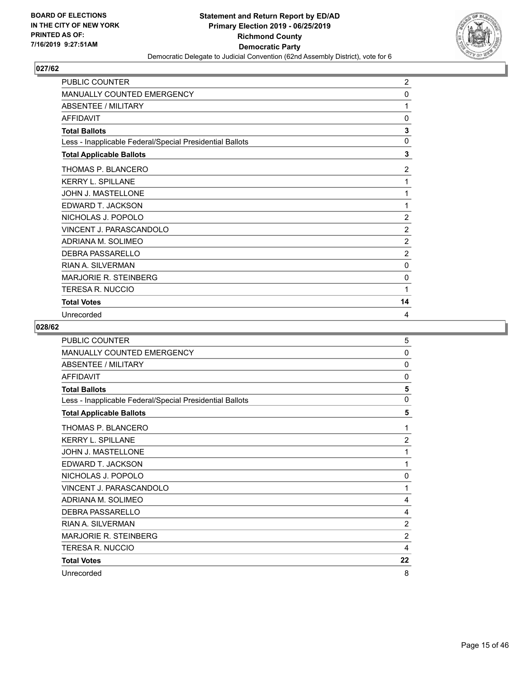

| PUBLIC COUNTER                                           | $\overline{c}$ |
|----------------------------------------------------------|----------------|
| <b>MANUALLY COUNTED EMERGENCY</b>                        | 0              |
| <b>ABSENTEE / MILITARY</b>                               | 1              |
| <b>AFFIDAVIT</b>                                         | 0              |
| <b>Total Ballots</b>                                     | 3              |
| Less - Inapplicable Federal/Special Presidential Ballots | $\mathbf 0$    |
| <b>Total Applicable Ballots</b>                          | 3              |
| THOMAS P. BLANCERO                                       | 2              |
| <b>KERRY L. SPILLANE</b>                                 | 1              |
| JOHN J. MASTELLONE                                       | 1              |
| EDWARD T. JACKSON                                        | 1              |
| NICHOLAS J. POPOLO                                       | $\overline{2}$ |
| VINCENT J. PARASCANDOLO                                  | $\overline{2}$ |
| ADRIANA M. SOLIMEO                                       | $\overline{c}$ |
| DEBRA PASSARELLO                                         | 2              |
| <b>RIAN A. SILVERMAN</b>                                 | $\Omega$       |
| <b>MARJORIE R. STEINBERG</b>                             | 0              |
| <b>TERESA R. NUCCIO</b>                                  | 1              |
| <b>Total Votes</b>                                       | 14             |
| Unrecorded                                               | 4              |

| PUBLIC COUNTER                                           | 5              |
|----------------------------------------------------------|----------------|
| MANUALLY COUNTED EMERGENCY                               | $\mathbf{0}$   |
| <b>ABSENTEE / MILITARY</b>                               | 0              |
| <b>AFFIDAVIT</b>                                         | $\mathbf{0}$   |
| <b>Total Ballots</b>                                     | 5              |
| Less - Inapplicable Federal/Special Presidential Ballots | $\mathbf 0$    |
| <b>Total Applicable Ballots</b>                          | 5              |
| THOMAS P. BLANCERO                                       | 1              |
| <b>KERRY L. SPILLANE</b>                                 | $\overline{2}$ |
| <b>JOHN J. MASTELLONE</b>                                | 1              |
| EDWARD T. JACKSON                                        | 1              |
| NICHOLAS J. POPOLO                                       | $\mathbf{0}$   |
| VINCENT J. PARASCANDOLO                                  | 1              |
| ADRIANA M. SOLIMEO                                       | 4              |
| DEBRA PASSARELLO                                         | 4              |
| <b>RIAN A. SILVERMAN</b>                                 | $\overline{2}$ |
| <b>MARJORIE R. STEINBERG</b>                             | $\overline{2}$ |
| <b>TERESA R. NUCCIO</b>                                  | 4              |
| <b>Total Votes</b>                                       | 22             |
| Unrecorded                                               | 8              |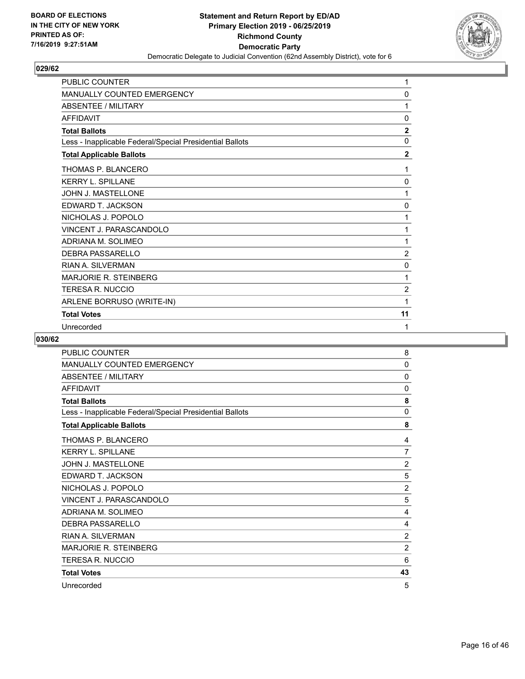

| PUBLIC COUNTER                                           | 1              |
|----------------------------------------------------------|----------------|
| <b>MANUALLY COUNTED EMERGENCY</b>                        | 0              |
| <b>ABSENTEE / MILITARY</b>                               | 1              |
| <b>AFFIDAVIT</b>                                         | $\mathbf{0}$   |
| <b>Total Ballots</b>                                     | $\mathbf{2}$   |
| Less - Inapplicable Federal/Special Presidential Ballots | $\mathbf{0}$   |
| <b>Total Applicable Ballots</b>                          | $\mathbf{2}$   |
| THOMAS P. BLANCERO                                       | 1              |
| <b>KERRY L. SPILLANE</b>                                 | 0              |
| JOHN J. MASTELLONE                                       | 1              |
| EDWARD T. JACKSON                                        | 0              |
| NICHOLAS J. POPOLO                                       | 1              |
| VINCENT J. PARASCANDOLO                                  | 1              |
| ADRIANA M. SOLIMEO                                       | 1              |
| <b>DEBRA PASSARELLO</b>                                  | $\overline{c}$ |
| <b>RIAN A. SILVERMAN</b>                                 | 0              |
| <b>MARJORIE R. STEINBERG</b>                             | 1              |
| <b>TERESA R. NUCCIO</b>                                  | 2              |
| ARLENE BORRUSO (WRITE-IN)                                | 1              |
| <b>Total Votes</b>                                       | 11             |
| Unrecorded                                               | 1              |

| PUBLIC COUNTER                                           | 8              |
|----------------------------------------------------------|----------------|
| <b>MANUALLY COUNTED EMERGENCY</b>                        | 0              |
| ABSENTEE / MILITARY                                      | 0              |
| <b>AFFIDAVIT</b>                                         | 0              |
| <b>Total Ballots</b>                                     | 8              |
| Less - Inapplicable Federal/Special Presidential Ballots | 0              |
| <b>Total Applicable Ballots</b>                          | 8              |
| THOMAS P. BLANCERO                                       | 4              |
| <b>KERRY L. SPILLANE</b>                                 | $\overline{7}$ |
| JOHN J. MASTELLONE                                       | 2              |
| EDWARD T. JACKSON                                        | 5              |
| NICHOLAS J. POPOLO                                       | $\overline{2}$ |
| VINCENT J. PARASCANDOLO                                  | 5              |
| ADRIANA M. SOLIMEO                                       | 4              |
| <b>DEBRA PASSARELLO</b>                                  | 4              |
| <b>RIAN A. SILVERMAN</b>                                 | $\overline{2}$ |
| <b>MARJORIE R. STEINBERG</b>                             | $\overline{2}$ |
| TERESA R. NUCCIO                                         | 6              |
| <b>Total Votes</b>                                       | 43             |
| Unrecorded                                               | 5              |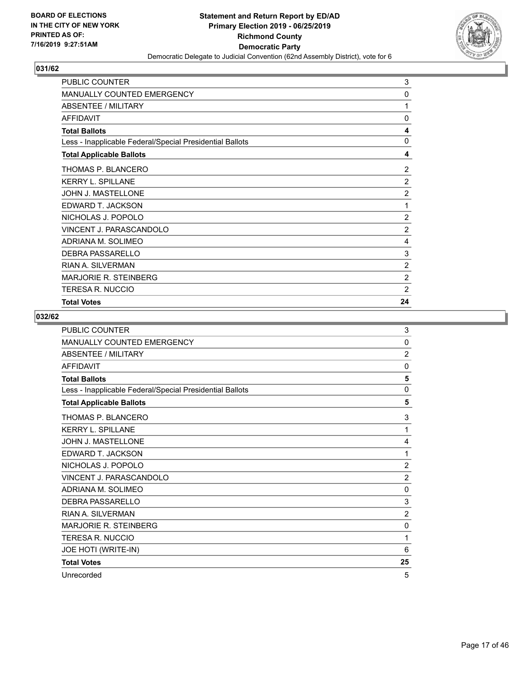

| PUBLIC COUNTER                                           | 3              |
|----------------------------------------------------------|----------------|
| <b>MANUALLY COUNTED EMERGENCY</b>                        | 0              |
| ABSENTEE / MILITARY                                      | 1              |
| <b>AFFIDAVIT</b>                                         | 0              |
| <b>Total Ballots</b>                                     | 4              |
| Less - Inapplicable Federal/Special Presidential Ballots | $\mathbf{0}$   |
| <b>Total Applicable Ballots</b>                          | 4              |
| THOMAS P. BLANCERO                                       | 2              |
| <b>KERRY L. SPILLANE</b>                                 | $\overline{2}$ |
| JOHN J. MASTELLONE                                       | $\overline{c}$ |
| EDWARD T. JACKSON                                        | 1              |
| NICHOLAS J. POPOLO                                       | 2              |
| VINCENT J. PARASCANDOLO                                  | 2              |
| ADRIANA M. SOLIMEO                                       | 4              |
| <b>DEBRA PASSARELLO</b>                                  | 3              |
| <b>RIAN A. SILVERMAN</b>                                 | $\overline{c}$ |
| <b>MARJORIE R. STEINBERG</b>                             | $\overline{2}$ |
| TERESA R. NUCCIO                                         | $\overline{2}$ |
| <b>Total Votes</b>                                       | 24             |

| <b>PUBLIC COUNTER</b>                                    | 3              |
|----------------------------------------------------------|----------------|
| <b>MANUALLY COUNTED EMERGENCY</b>                        | $\mathbf{0}$   |
| <b>ABSENTEE / MILITARY</b>                               | $\overline{2}$ |
| <b>AFFIDAVIT</b>                                         | $\Omega$       |
| <b>Total Ballots</b>                                     | 5              |
| Less - Inapplicable Federal/Special Presidential Ballots | $\mathbf{0}$   |
| <b>Total Applicable Ballots</b>                          | 5              |
| THOMAS P. BLANCERO                                       | 3              |
| <b>KERRY L. SPILLANE</b>                                 | 1              |
| JOHN J. MASTELLONE                                       | 4              |
| EDWARD T. JACKSON                                        | 1              |
| NICHOLAS J. POPOLO                                       | $\overline{2}$ |
| VINCENT J. PARASCANDOLO                                  | $\overline{2}$ |
| ADRIANA M. SOLIMEO                                       | $\mathbf{0}$   |
| <b>DEBRA PASSARELLO</b>                                  | 3              |
| <b>RIAN A. SII VERMAN</b>                                | $\overline{2}$ |
| <b>MARJORIE R. STEINBERG</b>                             | 0              |
| <b>TERESA R. NUCCIO</b>                                  | 1              |
| JOE HOTI (WRITE-IN)                                      | 6              |
| <b>Total Votes</b>                                       | 25             |
| Unrecorded                                               | 5              |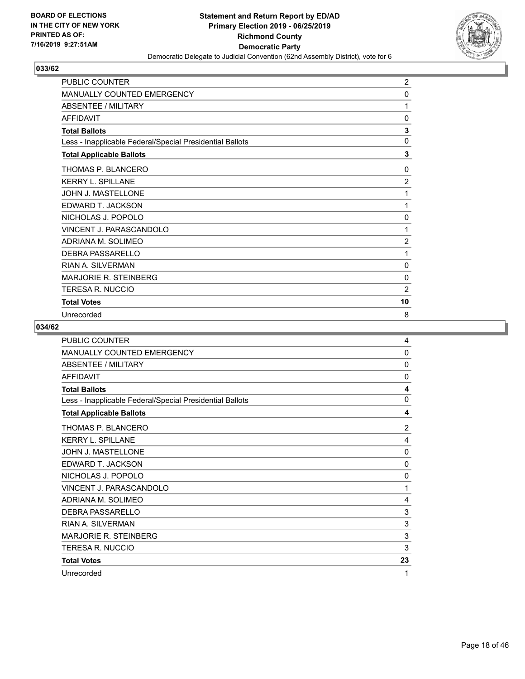

| PUBLIC COUNTER                                           | 2              |
|----------------------------------------------------------|----------------|
| MANUALLY COUNTED EMERGENCY                               | $\mathbf{0}$   |
| <b>ABSENTEE / MILITARY</b>                               | 1              |
| <b>AFFIDAVIT</b>                                         | 0              |
| <b>Total Ballots</b>                                     | 3              |
| Less - Inapplicable Federal/Special Presidential Ballots | 0              |
| <b>Total Applicable Ballots</b>                          | 3              |
| THOMAS P. BLANCERO                                       | 0              |
| <b>KERRY L. SPILLANE</b>                                 | $\overline{2}$ |
| <b>JOHN J. MASTELLONE</b>                                | 1              |
| EDWARD T. JACKSON                                        | 1              |
| NICHOLAS J. POPOLO                                       | 0              |
| VINCENT J. PARASCANDOLO                                  | 1              |
| ADRIANA M. SOLIMEO                                       | $\overline{2}$ |
| <b>DEBRA PASSARELLO</b>                                  | 1              |
| RIAN A. SILVERMAN                                        | $\Omega$       |
| <b>MARJORIE R. STEINBERG</b>                             | $\mathbf{0}$   |
| <b>TERESA R. NUCCIO</b>                                  | $\overline{2}$ |
| <b>Total Votes</b>                                       | 10             |
| Unrecorded                                               | 8              |

| PUBLIC COUNTER                                           | 4              |
|----------------------------------------------------------|----------------|
| MANUALLY COUNTED EMERGENCY                               | 0              |
| <b>ABSENTEE / MILITARY</b>                               | 0              |
| <b>AFFIDAVIT</b>                                         | $\mathbf{0}$   |
| <b>Total Ballots</b>                                     | 4              |
| Less - Inapplicable Federal/Special Presidential Ballots | 0              |
| <b>Total Applicable Ballots</b>                          | 4              |
| THOMAS P. BLANCERO                                       | $\overline{2}$ |
| <b>KERRY L. SPILLANE</b>                                 | 4              |
| <b>JOHN J. MASTELLONE</b>                                | 0              |
| EDWARD T. JACKSON                                        | 0              |
| NICHOLAS J. POPOLO                                       | $\mathbf{0}$   |
| VINCENT J. PARASCANDOLO                                  | 1              |
| ADRIANA M. SOLIMEO                                       | 4              |
| DEBRA PASSARELLO                                         | 3              |
| <b>RIAN A. SILVERMAN</b>                                 | 3              |
| <b>MARJORIE R. STEINBERG</b>                             | 3              |
| <b>TERESA R. NUCCIO</b>                                  | 3              |
| <b>Total Votes</b>                                       | 23             |
| Unrecorded                                               | 1              |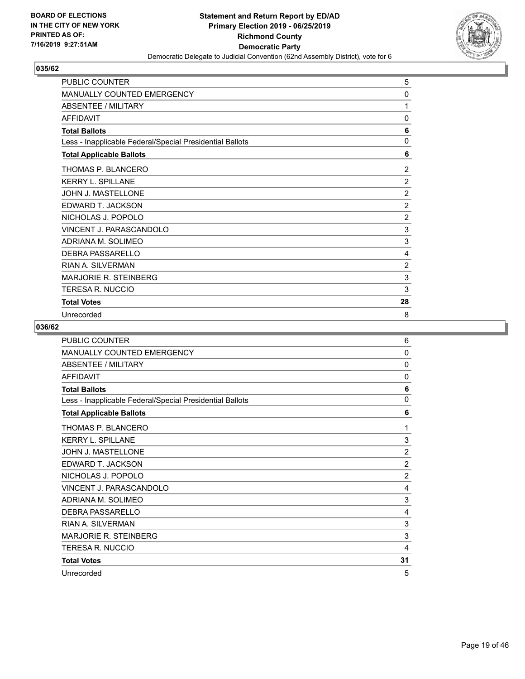

| <b>PUBLIC COUNTER</b>                                    | 5              |
|----------------------------------------------------------|----------------|
| <b>MANUALLY COUNTED EMERGENCY</b>                        | 0              |
| <b>ABSENTEE / MILITARY</b>                               | 1              |
| <b>AFFIDAVIT</b>                                         | 0              |
| <b>Total Ballots</b>                                     | 6              |
| Less - Inapplicable Federal/Special Presidential Ballots | $\mathbf 0$    |
| <b>Total Applicable Ballots</b>                          | 6              |
| THOMAS P. BLANCERO                                       | 2              |
| <b>KERRY L. SPILLANE</b>                                 | $\overline{2}$ |
| JOHN J. MASTELLONE                                       | $\overline{2}$ |
| EDWARD T. JACKSON                                        | $\overline{2}$ |
| NICHOLAS J. POPOLO                                       | $\overline{2}$ |
| VINCENT J. PARASCANDOLO                                  | 3              |
| ADRIANA M. SOLIMEO                                       | 3              |
| DEBRA PASSARELLO                                         | 4              |
| RIAN A. SILVERMAN                                        | 2              |
| <b>MARJORIE R. STEINBERG</b>                             | 3              |
| <b>TERESA R. NUCCIO</b>                                  | 3              |
| <b>Total Votes</b>                                       | 28             |
| Unrecorded                                               | 8              |

| PUBLIC COUNTER                                           | 6              |
|----------------------------------------------------------|----------------|
| MANUALLY COUNTED EMERGENCY                               | 0              |
| <b>ABSENTEE / MILITARY</b>                               | $\mathbf{0}$   |
| <b>AFFIDAVIT</b>                                         | $\mathbf{0}$   |
| <b>Total Ballots</b>                                     | 6              |
| Less - Inapplicable Federal/Special Presidential Ballots | $\mathbf{0}$   |
| <b>Total Applicable Ballots</b>                          | 6              |
| THOMAS P. BLANCERO                                       | 1              |
| <b>KERRY L. SPILLANE</b>                                 | 3              |
| <b>JOHN J. MASTELLONE</b>                                | $\overline{2}$ |
| EDWARD T. JACKSON                                        | $\overline{2}$ |
| NICHOLAS J. POPOLO                                       | $\overline{2}$ |
| VINCENT J. PARASCANDOLO                                  | 4              |
| ADRIANA M. SOLIMEO                                       | 3              |
| <b>DEBRA PASSARELLO</b>                                  | 4              |
| <b>RIAN A. SILVERMAN</b>                                 | 3              |
| <b>MARJORIE R. STEINBERG</b>                             | 3              |
| <b>TERESA R. NUCCIO</b>                                  | 4              |
| <b>Total Votes</b>                                       | 31             |
| Unrecorded                                               | 5              |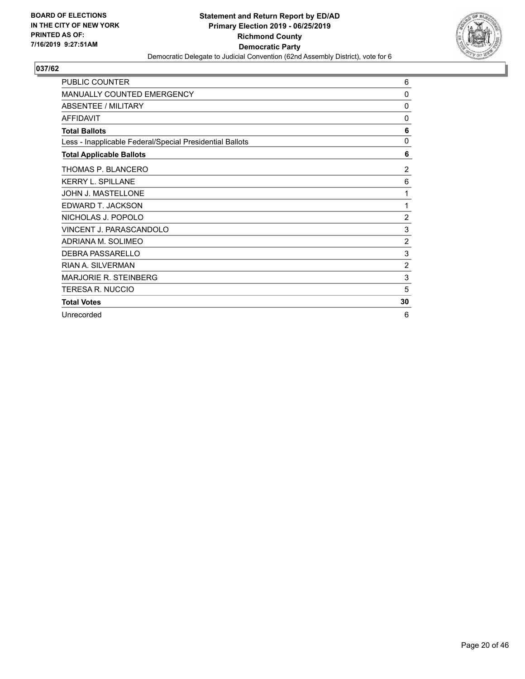

| PUBLIC COUNTER                                           | 6              |
|----------------------------------------------------------|----------------|
| MANUALLY COUNTED EMERGENCY                               | 0              |
| <b>ABSENTEE / MILITARY</b>                               | 0              |
| <b>AFFIDAVIT</b>                                         | 0              |
| <b>Total Ballots</b>                                     | 6              |
| Less - Inapplicable Federal/Special Presidential Ballots | 0              |
| <b>Total Applicable Ballots</b>                          | 6              |
| THOMAS P. BLANCERO                                       | 2              |
| <b>KERRY L. SPILLANE</b>                                 | 6              |
| <b>JOHN J. MASTELLONE</b>                                | 1              |
| EDWARD T. JACKSON                                        | 1              |
| NICHOLAS J. POPOLO                                       | $\overline{c}$ |
| VINCENT J. PARASCANDOLO                                  | 3              |
| ADRIANA M. SOLIMEO                                       | $\overline{2}$ |
| <b>DEBRA PASSARELLO</b>                                  | 3              |
| <b>RIAN A. SILVERMAN</b>                                 | $\overline{2}$ |
| <b>MARJORIE R. STEINBERG</b>                             | 3              |
| <b>TERESA R. NUCCIO</b>                                  | 5              |
| <b>Total Votes</b>                                       | 30             |
| Unrecorded                                               | 6              |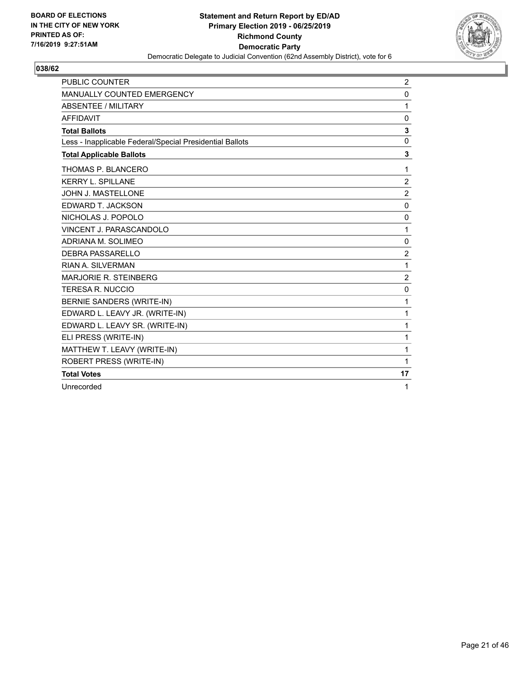

| <b>PUBLIC COUNTER</b>                                    | $\overline{2}$ |
|----------------------------------------------------------|----------------|
| <b>MANUALLY COUNTED EMERGENCY</b>                        | $\mathbf 0$    |
| <b>ABSENTEE / MILITARY</b>                               | $\mathbf{1}$   |
| <b>AFFIDAVIT</b>                                         | $\mathbf 0$    |
| <b>Total Ballots</b>                                     | 3              |
| Less - Inapplicable Federal/Special Presidential Ballots | $\mathbf 0$    |
| <b>Total Applicable Ballots</b>                          | 3              |
| THOMAS P. BLANCERO                                       | 1              |
| <b>KERRY L. SPILLANE</b>                                 | $\overline{2}$ |
| JOHN J. MASTELLONE                                       | $\overline{2}$ |
| EDWARD T. JACKSON                                        | $\mathbf{0}$   |
| NICHOLAS J. POPOLO                                       | $\mathbf 0$    |
| VINCENT J. PARASCANDOLO                                  | 1              |
| ADRIANA M. SOLIMEO                                       | 0              |
| DEBRA PASSARELLO                                         | $\overline{2}$ |
| RIAN A. SILVERMAN                                        | $\mathbf{1}$   |
| MARJORIE R. STEINBERG                                    | $\overline{2}$ |
| <b>TERESA R. NUCCIO</b>                                  | $\mathbf 0$    |
| BERNIE SANDERS (WRITE-IN)                                | 1              |
| EDWARD L. LEAVY JR. (WRITE-IN)                           | 1              |
| EDWARD L. LEAVY SR. (WRITE-IN)                           | $\mathbf{1}$   |
| ELI PRESS (WRITE-IN)                                     | $\mathbf{1}$   |
| MATTHEW T. LEAVY (WRITE-IN)                              | $\mathbf{1}$   |
| ROBERT PRESS (WRITE-IN)                                  | 1              |
| <b>Total Votes</b>                                       | 17             |
| Unrecorded                                               | 1              |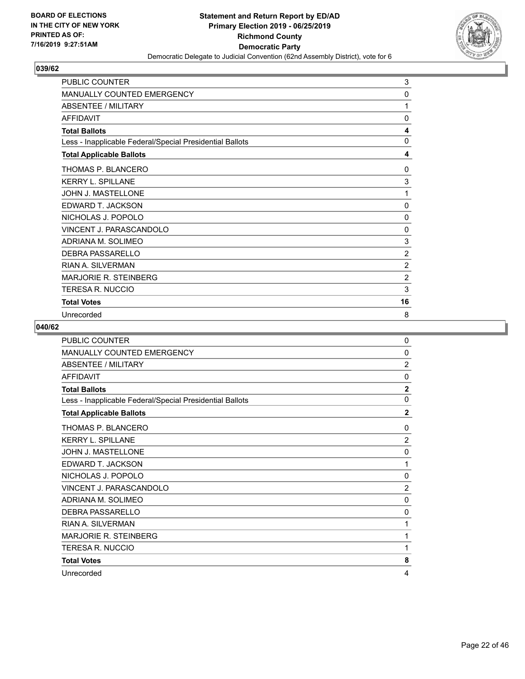

| <b>PUBLIC COUNTER</b>                                    | 3              |
|----------------------------------------------------------|----------------|
| MANUALLY COUNTED EMERGENCY                               | 0              |
| <b>ABSENTEE / MILITARY</b>                               | 1              |
| <b>AFFIDAVIT</b>                                         | $\mathbf{0}$   |
| <b>Total Ballots</b>                                     | 4              |
| Less - Inapplicable Federal/Special Presidential Ballots | 0              |
| <b>Total Applicable Ballots</b>                          | 4              |
| THOMAS P. BLANCERO                                       | 0              |
| <b>KERRY L. SPILLANE</b>                                 | 3              |
| JOHN J. MASTELLONE                                       | 1              |
| EDWARD T. JACKSON                                        | 0              |
| NICHOLAS J. POPOLO                                       | 0              |
| VINCENT J. PARASCANDOLO                                  | $\Omega$       |
| ADRIANA M. SOLIMEO                                       | 3              |
| DEBRA PASSARELLO                                         | 2              |
| RIAN A. SII VERMAN                                       | $\overline{2}$ |
| <b>MARJORIE R. STEINBERG</b>                             | $\overline{2}$ |
| <b>TERESA R. NUCCIO</b>                                  | 3              |
| <b>Total Votes</b>                                       | 16             |
| Unrecorded                                               | 8              |

| <b>PUBLIC COUNTER</b>                                    | 0              |
|----------------------------------------------------------|----------------|
| MANUALLY COUNTED EMERGENCY                               | $\mathbf{0}$   |
| ABSENTEE / MILITARY                                      | $\overline{2}$ |
| <b>AFFIDAVIT</b>                                         | $\mathbf{0}$   |
| <b>Total Ballots</b>                                     | $\overline{2}$ |
| Less - Inapplicable Federal/Special Presidential Ballots | $\mathbf{0}$   |
| <b>Total Applicable Ballots</b>                          | $\overline{2}$ |
| THOMAS P. BLANCERO                                       | $\mathbf{0}$   |
| <b>KERRY L. SPILLANE</b>                                 | $\overline{2}$ |
| <b>JOHN J. MASTELLONE</b>                                | 0              |
| EDWARD T. JACKSON                                        | 1              |
| NICHOLAS J. POPOLO                                       | $\mathbf{0}$   |
| VINCENT J. PARASCANDOLO                                  | $\overline{2}$ |
| ADRIANA M. SOLIMEO                                       | 0              |
| <b>DEBRA PASSARELLO</b>                                  | 0              |
| <b>RIAN A. SILVERMAN</b>                                 | 1              |
| <b>MARJORIE R. STEINBERG</b>                             | 1              |
| <b>TERESA R. NUCCIO</b>                                  | 1              |
| <b>Total Votes</b>                                       | 8              |
| Unrecorded                                               | 4              |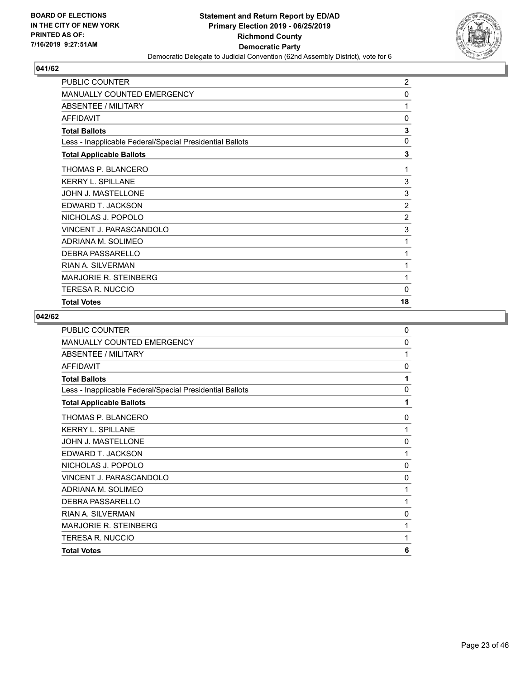

| PUBLIC COUNTER                                           | $\overline{2}$ |
|----------------------------------------------------------|----------------|
| <b>MANUALLY COUNTED EMERGENCY</b>                        | 0              |
| ABSENTEE / MILITARY                                      | 1              |
| <b>AFFIDAVIT</b>                                         | 0              |
| <b>Total Ballots</b>                                     | 3              |
| Less - Inapplicable Federal/Special Presidential Ballots | 0              |
| <b>Total Applicable Ballots</b>                          | 3              |
| THOMAS P. BLANCERO                                       | 1              |
| <b>KERRY L. SPILLANE</b>                                 | 3              |
| JOHN J. MASTELLONE                                       | 3              |
| EDWARD T. JACKSON                                        | $\overline{c}$ |
| NICHOLAS J. POPOLO                                       | $\overline{2}$ |
| VINCENT J. PARASCANDOLO                                  | 3              |
| ADRIANA M. SOLIMEO                                       | 1              |
| <b>DEBRA PASSARELLO</b>                                  | 1              |
| <b>RIAN A. SILVERMAN</b>                                 | 1              |
| <b>MARJORIE R. STEINBERG</b>                             | 1              |
| <b>TERESA R. NUCCIO</b>                                  | $\mathbf{0}$   |
| <b>Total Votes</b>                                       | 18             |

| <b>PUBLIC COUNTER</b>                                    | $\mathbf 0$  |
|----------------------------------------------------------|--------------|
| MANUALLY COUNTED EMERGENCY                               | 0            |
| ABSENTEE / MILITARY                                      | 1            |
| <b>AFFIDAVIT</b>                                         | 0            |
| <b>Total Ballots</b>                                     | 1            |
| Less - Inapplicable Federal/Special Presidential Ballots | 0            |
| <b>Total Applicable Ballots</b>                          | 1            |
| THOMAS P. BLANCERO                                       | 0            |
| <b>KERRY L. SPILLANE</b>                                 | 1            |
| <b>JOHN J. MASTELLONE</b>                                | $\mathbf{0}$ |
| EDWARD T. JACKSON                                        | 1            |
| NICHOLAS J. POPOLO                                       | $\mathbf{0}$ |
| VINCENT J. PARASCANDOLO                                  | $\Omega$     |
| ADRIANA M. SOLIMEO                                       | 1            |
| DEBRA PASSARELLO                                         | 1            |
| <b>RIAN A. SILVERMAN</b>                                 | 0            |
| <b>MARJORIE R. STEINBERG</b>                             | 1            |
| TERESA R. NUCCIO                                         | 1            |
| <b>Total Votes</b>                                       | 6            |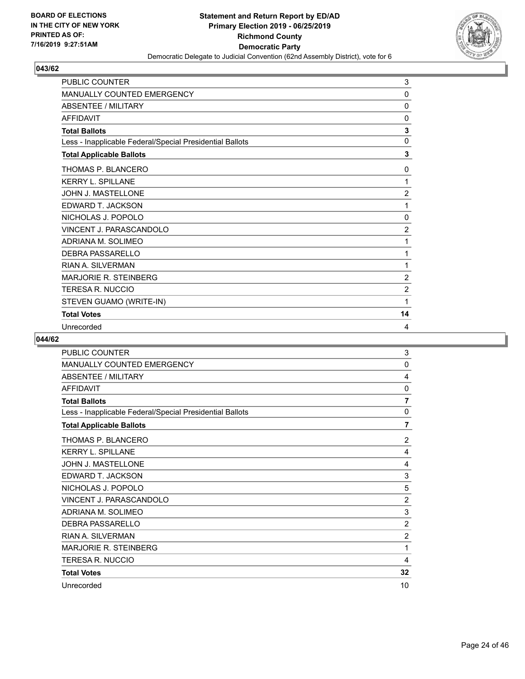

| PUBLIC COUNTER                                           | 3              |
|----------------------------------------------------------|----------------|
| MANUALLY COUNTED EMERGENCY                               | $\mathbf{0}$   |
| <b>ABSENTEE / MILITARY</b>                               | 0              |
| <b>AFFIDAVIT</b>                                         | 0              |
| <b>Total Ballots</b>                                     | 3              |
| Less - Inapplicable Federal/Special Presidential Ballots | $\mathbf 0$    |
| <b>Total Applicable Ballots</b>                          | 3              |
| THOMAS P. BLANCERO                                       | 0              |
| <b>KERRY L. SPILLANE</b>                                 | 1              |
| JOHN J. MASTELLONE                                       | $\overline{2}$ |
| EDWARD T. JACKSON                                        | 1              |
| NICHOLAS J. POPOLO                                       | 0              |
| VINCENT J. PARASCANDOLO                                  | $\overline{c}$ |
| ADRIANA M. SOLIMEO                                       | 1              |
| DEBRA PASSARELLO                                         | 1              |
| <b>RIAN A. SILVERMAN</b>                                 | 1              |
| <b>MARJORIE R. STEINBERG</b>                             | $\overline{2}$ |
| <b>TERESA R. NUCCIO</b>                                  | $\overline{2}$ |
| STEVEN GUAMO (WRITE-IN)                                  | 1              |
| <b>Total Votes</b>                                       | 14             |
| Unrecorded                                               | 4              |

| PUBLIC COUNTER                                           | 3              |
|----------------------------------------------------------|----------------|
| <b>MANUALLY COUNTED EMERGENCY</b>                        | 0              |
| ABSENTEE / MILITARY                                      | 4              |
| <b>AFFIDAVIT</b>                                         | 0              |
| <b>Total Ballots</b>                                     | 7              |
| Less - Inapplicable Federal/Special Presidential Ballots | 0              |
| <b>Total Applicable Ballots</b>                          | 7              |
| THOMAS P. BLANCERO                                       | $\overline{2}$ |
| <b>KERRY L. SPILLANE</b>                                 | 4              |
| <b>JOHN J. MASTELLONE</b>                                | 4              |
| EDWARD T. JACKSON                                        | 3              |
| NICHOLAS J. POPOLO                                       | 5              |
| VINCENT J. PARASCANDOLO                                  | 2              |
| ADRIANA M. SOLIMEO                                       | 3              |
| <b>DEBRA PASSARELLO</b>                                  | $\overline{2}$ |
| RIAN A. SILVERMAN                                        | $\overline{2}$ |
| <b>MARJORIE R. STEINBERG</b>                             | 1              |
| TERESA R. NUCCIO                                         | 4              |
| <b>Total Votes</b>                                       | 32             |
| Unrecorded                                               | 10             |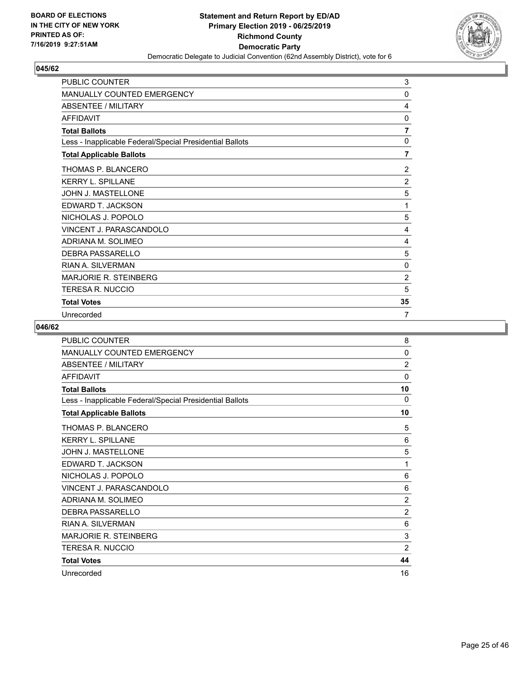

| PUBLIC COUNTER                                           | 3              |
|----------------------------------------------------------|----------------|
| <b>MANUALLY COUNTED EMERGENCY</b>                        | 0              |
| <b>ABSENTEE / MILITARY</b>                               | 4              |
| <b>AFFIDAVIT</b>                                         | 0              |
| <b>Total Ballots</b>                                     | $\overline{7}$ |
| Less - Inapplicable Federal/Special Presidential Ballots | $\mathbf 0$    |
| <b>Total Applicable Ballots</b>                          | $\overline{7}$ |
| THOMAS P. BLANCERO                                       | $\overline{c}$ |
| <b>KERRY L. SPILLANE</b>                                 | $\overline{2}$ |
| JOHN J. MASTELLONE                                       | 5              |
| EDWARD T. JACKSON                                        | 1              |
| NICHOLAS J. POPOLO                                       | 5              |
| VINCENT J. PARASCANDOLO                                  | 4              |
| ADRIANA M. SOLIMEO                                       | 4              |
| DEBRA PASSARELLO                                         | 5              |
| <b>RIAN A. SILVERMAN</b>                                 | 0              |
| <b>MARJORIE R. STEINBERG</b>                             | $\overline{2}$ |
| TERESA R. NUCCIO                                         | 5              |
| <b>Total Votes</b>                                       | 35             |
| Unrecorded                                               | 7              |

| <b>PUBLIC COUNTER</b>                                    | 8              |
|----------------------------------------------------------|----------------|
| MANUALLY COUNTED EMERGENCY                               | 0              |
| ABSENTEE / MILITARY                                      | $\overline{2}$ |
| <b>AFFIDAVIT</b>                                         | $\mathbf{0}$   |
| <b>Total Ballots</b>                                     | 10             |
| Less - Inapplicable Federal/Special Presidential Ballots | $\Omega$       |
| <b>Total Applicable Ballots</b>                          | 10             |
| THOMAS P. BLANCERO                                       | 5              |
| <b>KERRY L. SPILLANE</b>                                 | 6              |
| <b>JOHN J. MASTELLONE</b>                                | 5              |
| EDWARD T. JACKSON                                        | 1              |
| NICHOLAS J. POPOLO                                       | 6              |
| VINCENT J. PARASCANDOLO                                  | 6              |
| ADRIANA M. SOLIMEO                                       | $\overline{2}$ |
| <b>DEBRA PASSARELLO</b>                                  | 2              |
| RIAN A. SILVERMAN                                        | 6              |
| <b>MARJORIE R. STEINBERG</b>                             | 3              |
| TERESA R. NUCCIO                                         | $\overline{2}$ |
| <b>Total Votes</b>                                       | 44             |
| Unrecorded                                               | 16             |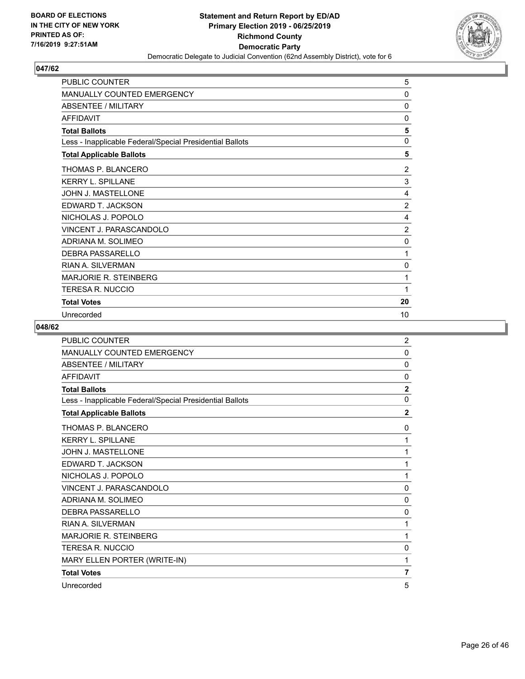

| <b>PUBLIC COUNTER</b>                                    | 5              |
|----------------------------------------------------------|----------------|
| MANUALLY COUNTED EMERGENCY                               | 0              |
| ABSENTEE / MILITARY                                      | 0              |
| <b>AFFIDAVIT</b>                                         | $\Omega$       |
| <b>Total Ballots</b>                                     | 5              |
| Less - Inapplicable Federal/Special Presidential Ballots | 0              |
| <b>Total Applicable Ballots</b>                          | 5              |
| THOMAS P. BLANCERO                                       | $\overline{c}$ |
| <b>KERRY L. SPILLANE</b>                                 | 3              |
| JOHN J. MASTELLONE                                       | 4              |
| EDWARD T. JACKSON                                        | $\overline{2}$ |
| NICHOLAS J. POPOLO                                       | 4              |
| VINCENT J. PARASCANDOLO                                  | $\overline{2}$ |
| ADRIANA M. SOLIMEO                                       | 0              |
| DEBRA PASSARELLO                                         | 1              |
| <b>RIAN A. SILVERMAN</b>                                 | 0              |
| <b>MARJORIE R. STEINBERG</b>                             | 1              |
| <b>TERESA R. NUCCIO</b>                                  | 1              |
| <b>Total Votes</b>                                       | 20             |
| Unrecorded                                               | 10             |

| <b>PUBLIC COUNTER</b>                                    | $\overline{c}$ |
|----------------------------------------------------------|----------------|
| MANUALLY COUNTED EMERGENCY                               | $\mathbf{0}$   |
| <b>ABSENTEE / MILITARY</b>                               | $\mathbf{0}$   |
| <b>AFFIDAVIT</b>                                         | $\mathbf{0}$   |
| <b>Total Ballots</b>                                     | $\overline{2}$ |
| Less - Inapplicable Federal/Special Presidential Ballots | $\mathbf{0}$   |
| <b>Total Applicable Ballots</b>                          | $\mathbf{2}$   |
| THOMAS P. BLANCERO                                       | 0              |
| <b>KERRY L. SPILLANE</b>                                 | 1              |
| JOHN J. MASTELLONE                                       | 1              |
| EDWARD T. JACKSON                                        | 1              |
| NICHOLAS J. POPOLO                                       | 1              |
| VINCENT J. PARASCANDOLO                                  | $\mathbf{0}$   |
| ADRIANA M. SOLIMEO                                       | $\mathbf{0}$   |
| <b>DEBRA PASSARELLO</b>                                  | $\mathbf{0}$   |
| RIAN A. SILVERMAN                                        | 1              |
| <b>MARJORIE R. STEINBERG</b>                             | 1              |
| <b>TERESA R. NUCCIO</b>                                  | 0              |
| MARY ELLEN PORTER (WRITE-IN)                             | 1              |
| <b>Total Votes</b>                                       | $\overline{7}$ |
| Unrecorded                                               | 5              |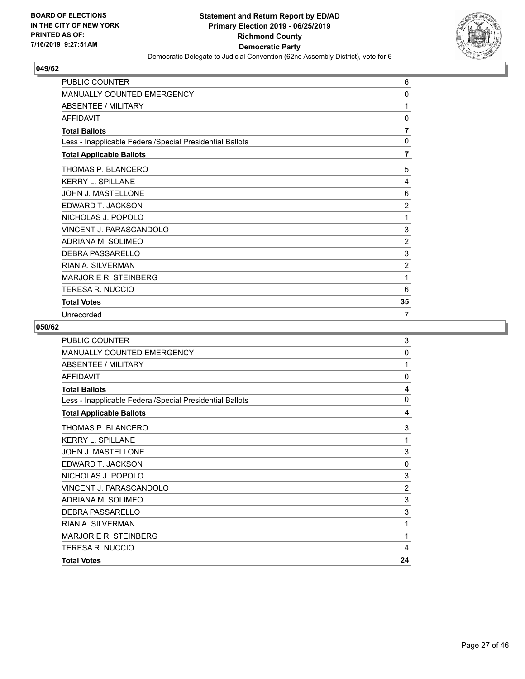

| <b>PUBLIC COUNTER</b>                                    | 6              |
|----------------------------------------------------------|----------------|
| MANUALLY COUNTED EMERGENCY                               | 0              |
| <b>ABSENTEE / MILITARY</b>                               | 1              |
| <b>AFFIDAVIT</b>                                         | $\mathbf{0}$   |
| <b>Total Ballots</b>                                     | $\overline{7}$ |
| Less - Inapplicable Federal/Special Presidential Ballots | 0              |
| <b>Total Applicable Ballots</b>                          | $\overline{7}$ |
| THOMAS P. BLANCERO                                       | 5              |
| <b>KERRY L. SPILLANE</b>                                 | 4              |
| JOHN J. MASTELLONE                                       | 6              |
| EDWARD T. JACKSON                                        | $\overline{2}$ |
| NICHOLAS J. POPOLO                                       | 1              |
| VINCENT J. PARASCANDOLO                                  | 3              |
| ADRIANA M. SOLIMEO                                       | $\overline{2}$ |
| DEBRA PASSARELLO                                         | 3              |
| <b>RIAN A. SILVERMAN</b>                                 | $\overline{2}$ |
| <b>MARJORIE R. STEINBERG</b>                             | 1              |
| TERESA R. NUCCIO                                         | 6              |
| <b>Total Votes</b>                                       | 35             |
| Unrecorded                                               | $\overline{7}$ |

| <b>Total Votes</b>                                       | 24             |
|----------------------------------------------------------|----------------|
| <b>TERESA R. NUCCIO</b>                                  | 4              |
| <b>MARJORIE R. STEINBERG</b>                             | 1              |
| <b>RIAN A. SILVERMAN</b>                                 | 1              |
| <b>DEBRA PASSARELLO</b>                                  | 3              |
| ADRIANA M. SOLIMEO                                       | 3              |
| VINCENT J. PARASCANDOLO                                  | $\overline{2}$ |
| NICHOLAS J. POPOLO                                       | 3              |
| EDWARD T. JACKSON                                        | 0              |
| <b>JOHN J. MASTELLONE</b>                                | 3              |
| <b>KERRY L. SPILLANE</b>                                 | 1              |
| THOMAS P. BLANCERO                                       | 3              |
| <b>Total Applicable Ballots</b>                          | 4              |
| Less - Inapplicable Federal/Special Presidential Ballots | $\mathbf{0}$   |
| <b>Total Ballots</b>                                     | 4              |
| <b>AFFIDAVIT</b>                                         | $\mathbf 0$    |
| <b>ABSENTEE / MILITARY</b>                               | 1              |
| <b>MANUALLY COUNTED EMERGENCY</b>                        | $\mathbf 0$    |
| <b>PUBLIC COUNTER</b>                                    | 3              |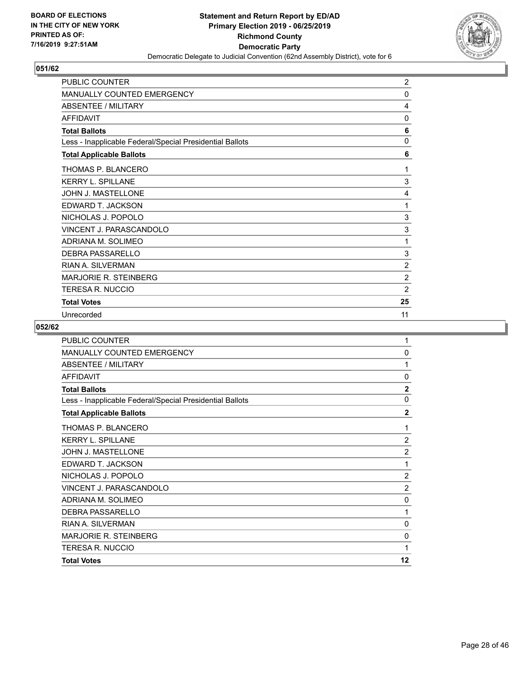

| PUBLIC COUNTER                                           | $\overline{c}$ |
|----------------------------------------------------------|----------------|
| <b>MANUALLY COUNTED EMERGENCY</b>                        | 0              |
| <b>ABSENTEE / MILITARY</b>                               | 4              |
| <b>AFFIDAVIT</b>                                         | 0              |
| <b>Total Ballots</b>                                     | 6              |
| Less - Inapplicable Federal/Special Presidential Ballots | $\mathbf 0$    |
| <b>Total Applicable Ballots</b>                          | 6              |
| THOMAS P. BLANCERO                                       | 1              |
| <b>KERRY L. SPILLANE</b>                                 | 3              |
| JOHN J. MASTELLONE                                       | 4              |
| EDWARD T. JACKSON                                        | 1              |
| NICHOLAS J. POPOLO                                       | 3              |
| VINCENT J. PARASCANDOLO                                  | 3              |
| ADRIANA M. SOLIMEO                                       | 1              |
| <b>DEBRA PASSARELLO</b>                                  | 3              |
| RIAN A. SILVERMAN                                        | $\overline{2}$ |
| <b>MARJORIE R. STEINBERG</b>                             | $\overline{2}$ |
| TERESA R. NUCCIO                                         | $\overline{2}$ |
| <b>Total Votes</b>                                       | 25             |
| Unrecorded                                               | 11             |

| <b>PUBLIC COUNTER</b>                                    | 1              |
|----------------------------------------------------------|----------------|
| MANUALLY COUNTED EMERGENCY                               | 0              |
| <b>ABSENTEE / MILITARY</b>                               | 1              |
| AFFIDAVIT                                                | 0              |
| <b>Total Ballots</b>                                     | $\overline{2}$ |
| Less - Inapplicable Federal/Special Presidential Ballots | 0              |
| <b>Total Applicable Ballots</b>                          | $\overline{2}$ |
| THOMAS P. BLANCERO                                       | 1              |
| <b>KERRY L. SPILLANE</b>                                 | $\overline{2}$ |
| <b>JOHN J. MASTELLONE</b>                                | $\overline{2}$ |
| EDWARD T. JACKSON                                        | 1              |
| NICHOLAS J. POPOLO                                       | $\overline{2}$ |
| VINCENT J. PARASCANDOLO                                  | $\overline{2}$ |
| ADRIANA M. SOLIMEO                                       | 0              |
| DEBRA PASSARELLO                                         | 1              |
| <b>RIAN A. SILVERMAN</b>                                 | $\Omega$       |
| <b>MARJORIE R. STEINBERG</b>                             | 0              |
| <b>TERESA R. NUCCIO</b>                                  | 1              |
| <b>Total Votes</b>                                       | 12             |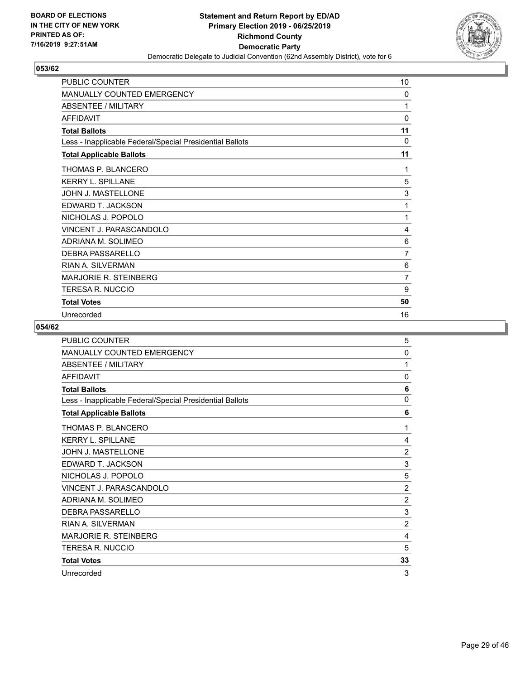

| <b>PUBLIC COUNTER</b>                                    | 10             |
|----------------------------------------------------------|----------------|
| <b>MANUALLY COUNTED EMERGENCY</b>                        | 0              |
| <b>ABSENTEE / MILITARY</b>                               | 1              |
| <b>AFFIDAVIT</b>                                         | 0              |
| <b>Total Ballots</b>                                     | 11             |
| Less - Inapplicable Federal/Special Presidential Ballots | $\Omega$       |
| <b>Total Applicable Ballots</b>                          | 11             |
| THOMAS P. BLANCERO                                       | 1              |
| <b>KERRY L. SPILLANE</b>                                 | 5              |
| JOHN J. MASTELLONE                                       | 3              |
| EDWARD T. JACKSON                                        | 1              |
| NICHOLAS J. POPOLO                                       | 1              |
| VINCENT J. PARASCANDOLO                                  | 4              |
| ADRIANA M. SOLIMEO                                       | 6              |
| <b>DEBRA PASSARELLO</b>                                  | $\overline{7}$ |
| <b>RIAN A. SILVERMAN</b>                                 | 6              |
| <b>MARJORIE R. STEINBERG</b>                             | 7              |
| TERESA R. NUCCIO                                         | 9              |
| <b>Total Votes</b>                                       | 50             |
| Unrecorded                                               | 16             |

| <b>PUBLIC COUNTER</b>                                    | 5              |
|----------------------------------------------------------|----------------|
| MANUALLY COUNTED EMERGENCY                               | $\mathbf{0}$   |
| <b>ABSENTEE / MILITARY</b>                               | 1              |
| <b>AFFIDAVIT</b>                                         | $\mathbf{0}$   |
| <b>Total Ballots</b>                                     | 6              |
| Less - Inapplicable Federal/Special Presidential Ballots | $\mathbf 0$    |
| <b>Total Applicable Ballots</b>                          | 6              |
| THOMAS P. BLANCERO                                       | 1              |
| <b>KERRY L. SPILLANE</b>                                 | 4              |
| <b>JOHN J. MASTELLONE</b>                                | $\overline{2}$ |
| EDWARD T. JACKSON                                        | 3              |
| NICHOLAS J. POPOLO                                       | 5              |
| VINCENT J. PARASCANDOLO                                  | $\overline{2}$ |
| ADRIANA M. SOLIMEO                                       | $\overline{2}$ |
| DEBRA PASSARELLO                                         | 3              |
| RIAN A. SILVERMAN                                        | $\overline{2}$ |
| <b>MARJORIE R. STEINBERG</b>                             | 4              |
| TERESA R. NUCCIO                                         | 5              |
| <b>Total Votes</b>                                       | 33             |
| Unrecorded                                               | 3              |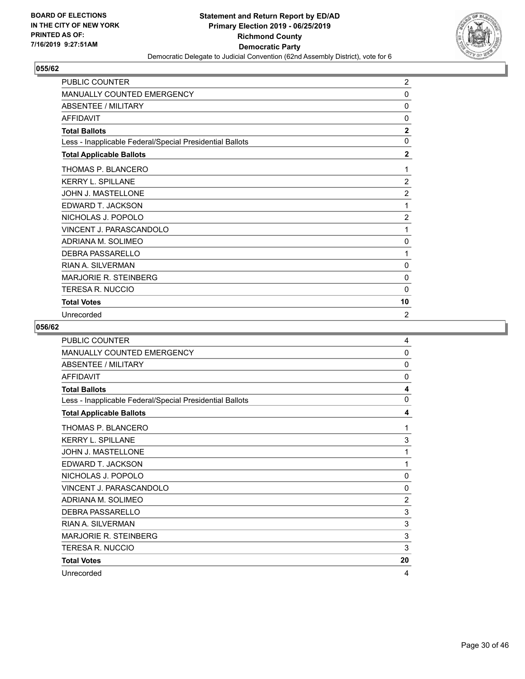

| <b>PUBLIC COUNTER</b>                                    | $\overline{2}$ |
|----------------------------------------------------------|----------------|
| MANUALLY COUNTED EMERGENCY                               | 0              |
| <b>ABSENTEE / MILITARY</b>                               | 0              |
| <b>AFFIDAVIT</b>                                         | $\mathbf{0}$   |
| <b>Total Ballots</b>                                     | $\mathbf{2}$   |
| Less - Inapplicable Federal/Special Presidential Ballots | $\mathbf 0$    |
| <b>Total Applicable Ballots</b>                          | $\overline{2}$ |
| THOMAS P. BLANCERO                                       | 1              |
| <b>KERRY L. SPILLANE</b>                                 | $\overline{2}$ |
| JOHN J. MASTELLONE                                       | $\overline{c}$ |
| EDWARD T. JACKSON                                        | 1              |
| NICHOLAS J. POPOLO                                       | $\overline{2}$ |
| VINCENT J. PARASCANDOLO                                  | 1              |
| ADRIANA M. SOLIMEO                                       | $\mathbf 0$    |
| <b>DEBRA PASSARELLO</b>                                  | 1              |
| <b>RIAN A. SII VERMAN</b>                                | 0              |
| <b>MARJORIE R. STEINBERG</b>                             | 0              |
| TERESA R. NUCCIO                                         | $\Omega$       |
| <b>Total Votes</b>                                       | 10             |
| Unrecorded                                               | $\overline{2}$ |

| PUBLIC COUNTER                                           | 4            |
|----------------------------------------------------------|--------------|
| <b>MANUALLY COUNTED EMERGENCY</b>                        | 0            |
| <b>ABSENTEE / MILITARY</b>                               | 0            |
| <b>AFFIDAVIT</b>                                         | $\mathbf{0}$ |
| <b>Total Ballots</b>                                     | 4            |
| Less - Inapplicable Federal/Special Presidential Ballots | $\mathbf{0}$ |
| <b>Total Applicable Ballots</b>                          | 4            |
| THOMAS P. BLANCERO                                       | 1            |
| <b>KERRY L. SPILLANE</b>                                 | 3            |
| <b>JOHN J. MASTELLONE</b>                                | 1            |
| EDWARD T. JACKSON                                        | 1            |
| NICHOLAS J. POPOLO                                       | $\mathbf{0}$ |
| VINCENT J. PARASCANDOLO                                  | $\mathbf{0}$ |
| ADRIANA M. SOLIMEO                                       | 2            |
| DEBRA PASSARELLO                                         | 3            |
| <b>RIAN A. SILVERMAN</b>                                 | 3            |
| MARJORIE R. STEINBERG                                    | 3            |
| TERESA R. NUCCIO                                         | 3            |
| <b>Total Votes</b>                                       | 20           |
| Unrecorded                                               | 4            |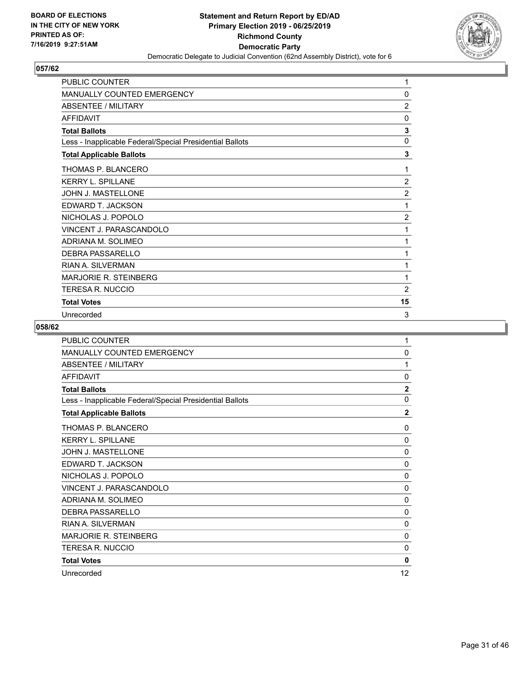

| <b>PUBLIC COUNTER</b>                                    | 1              |
|----------------------------------------------------------|----------------|
| MANUALLY COUNTED EMERGENCY                               | 0              |
| ABSENTEE / MILITARY                                      | $\overline{2}$ |
| <b>AFFIDAVIT</b>                                         | $\Omega$       |
| <b>Total Ballots</b>                                     | 3              |
| Less - Inapplicable Federal/Special Presidential Ballots | 0              |
| <b>Total Applicable Ballots</b>                          | 3              |
| THOMAS P. BLANCERO                                       | 1              |
| <b>KERRY L. SPILLANE</b>                                 | $\overline{2}$ |
| JOHN J. MASTELLONE                                       | $\overline{c}$ |
| EDWARD T. JACKSON                                        | 1              |
| NICHOLAS J. POPOLO                                       | $\overline{2}$ |
| VINCENT J. PARASCANDOLO                                  | 1              |
| ADRIANA M. SOLIMEO                                       | 1              |
| DEBRA PASSARELLO                                         | 1              |
| <b>RIAN A. SILVERMAN</b>                                 | 1              |
| <b>MARJORIE R. STEINBERG</b>                             | 1              |
| TERESA R. NUCCIO                                         | $\overline{2}$ |
| <b>Total Votes</b>                                       | 15             |
| Unrecorded                                               | 3              |

| <b>PUBLIC COUNTER</b>                                    | 1              |
|----------------------------------------------------------|----------------|
| <b>MANUALLY COUNTED EMERGENCY</b>                        | $\mathbf 0$    |
| <b>ABSENTEE / MILITARY</b>                               | 1              |
| <b>AFFIDAVIT</b>                                         | 0              |
| <b>Total Ballots</b>                                     | $\overline{2}$ |
| Less - Inapplicable Federal/Special Presidential Ballots | $\mathbf 0$    |
| <b>Total Applicable Ballots</b>                          | $\mathbf{2}$   |
| THOMAS P. BLANCERO                                       | 0              |
| <b>KERRY L. SPILLANE</b>                                 | 0              |
| <b>JOHN J. MASTELLONE</b>                                | $\mathbf{0}$   |
| EDWARD T. JACKSON                                        | $\mathbf 0$    |
| NICHOLAS J. POPOLO                                       | $\mathbf{0}$   |
| VINCENT J. PARASCANDOLO                                  | 0              |
| ADRIANA M. SOLIMEO                                       | $\mathbf{0}$   |
| <b>DEBRA PASSARELLO</b>                                  | 0              |
| <b>RIAN A. SILVERMAN</b>                                 | $\mathbf{0}$   |
| <b>MARJORIE R. STEINBERG</b>                             | 0              |
| <b>TERESA R. NUCCIO</b>                                  | $\mathbf{0}$   |
| <b>Total Votes</b>                                       | 0              |
| Unrecorded                                               | 12             |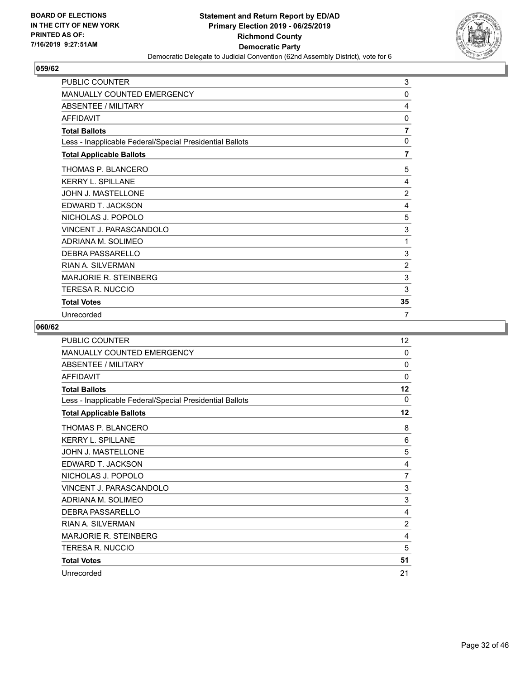

| <b>PUBLIC COUNTER</b>                                    | 3              |
|----------------------------------------------------------|----------------|
| MANUALLY COUNTED EMERGENCY                               | 0              |
| <b>ABSENTEE / MILITARY</b>                               | 4              |
| <b>AFFIDAVIT</b>                                         | $\Omega$       |
| <b>Total Ballots</b>                                     | $\overline{7}$ |
| Less - Inapplicable Federal/Special Presidential Ballots | $\mathbf 0$    |
| <b>Total Applicable Ballots</b>                          | $\overline{7}$ |
| THOMAS P. BLANCERO                                       | 5              |
| <b>KERRY L. SPILLANE</b>                                 | 4              |
| JOHN J. MASTELLONE                                       | $\overline{c}$ |
| EDWARD T. JACKSON                                        | 4              |
| NICHOLAS J. POPOLO                                       | 5              |
| VINCENT J. PARASCANDOLO                                  | 3              |
| ADRIANA M. SOLIMEO                                       | 1              |
| <b>DEBRA PASSARELLO</b>                                  | 3              |
| <b>RIAN A. SII VERMAN</b>                                | $\overline{2}$ |
| <b>MARJORIE R. STEINBERG</b>                             | 3              |
| TERESA R. NUCCIO                                         | 3              |
| <b>Total Votes</b>                                       | 35             |
| Unrecorded                                               | 7              |

| PUBLIC COUNTER                                           | $12 \overline{ }$ |
|----------------------------------------------------------|-------------------|
| MANUALLY COUNTED EMERGENCY                               | 0                 |
| <b>ABSENTEE / MILITARY</b>                               | 0                 |
| <b>AFFIDAVIT</b>                                         | 0                 |
| <b>Total Ballots</b>                                     | $12 \,$           |
| Less - Inapplicable Federal/Special Presidential Ballots | $\Omega$          |
| <b>Total Applicable Ballots</b>                          | $12 \,$           |
| THOMAS P. BLANCERO                                       | 8                 |
| <b>KERRY L. SPILLANE</b>                                 | 6                 |
| <b>JOHN J. MASTELLONE</b>                                | 5                 |
| EDWARD T. JACKSON                                        | 4                 |
| NICHOLAS J. POPOLO                                       | 7                 |
| VINCENT J. PARASCANDOLO                                  | 3                 |
| ADRIANA M. SOLIMEO                                       | 3                 |
| <b>DEBRA PASSARELLO</b>                                  | 4                 |
| <b>RIAN A. SILVERMAN</b>                                 | $\overline{2}$    |
| <b>MARJORIE R. STEINBERG</b>                             | 4                 |
| <b>TERESA R. NUCCIO</b>                                  | 5                 |
| <b>Total Votes</b>                                       | 51                |
| Unrecorded                                               | 21                |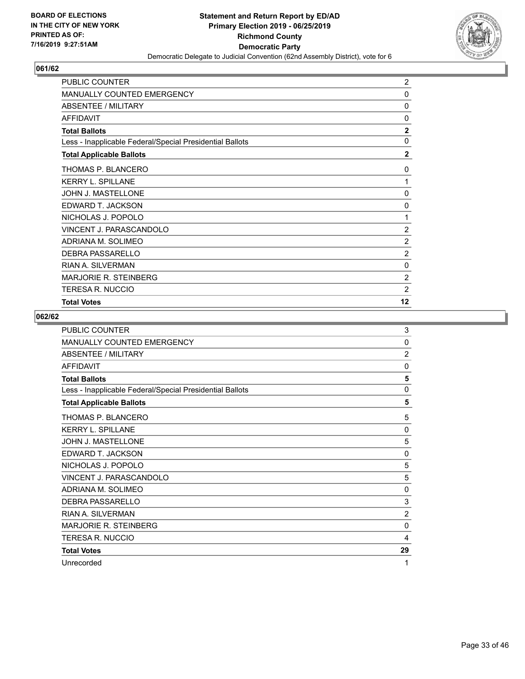

| PUBLIC COUNTER                                           | $\overline{c}$ |
|----------------------------------------------------------|----------------|
| <b>MANUALLY COUNTED EMERGENCY</b>                        | 0              |
| ABSENTEE / MILITARY                                      | 0              |
| <b>AFFIDAVIT</b>                                         | 0              |
| <b>Total Ballots</b>                                     | $\overline{2}$ |
| Less - Inapplicable Federal/Special Presidential Ballots | $\mathbf{0}$   |
| <b>Total Applicable Ballots</b>                          | $\mathbf{2}$   |
| THOMAS P. BLANCERO                                       | 0              |
| <b>KERRY L. SPILLANE</b>                                 | 1              |
| JOHN J. MASTELLONE                                       | 0              |
| EDWARD T. JACKSON                                        | 0              |
| NICHOLAS J. POPOLO                                       | 1              |
| VINCENT J. PARASCANDOLO                                  | 2              |
| ADRIANA M. SOLIMEO                                       | $\overline{c}$ |
| <b>DEBRA PASSARELLO</b>                                  | $\overline{2}$ |
| <b>RIAN A. SILVERMAN</b>                                 | 0              |
| MARJORIE R. STEINBERG                                    | $\overline{2}$ |
| TERESA R. NUCCIO                                         | $\overline{2}$ |
| <b>Total Votes</b>                                       | 12             |

| <b>PUBLIC COUNTER</b>                                    | 3              |
|----------------------------------------------------------|----------------|
| <b>MANUALLY COUNTED EMERGENCY</b>                        | 0              |
| ABSENTEE / MILITARY                                      | $\overline{2}$ |
| <b>AFFIDAVIT</b>                                         | $\mathbf{0}$   |
| <b>Total Ballots</b>                                     | 5              |
| Less - Inapplicable Federal/Special Presidential Ballots | $\mathbf{0}$   |
| <b>Total Applicable Ballots</b>                          | 5              |
| THOMAS P. BLANCERO                                       | 5              |
| <b>KERRY L. SPILLANE</b>                                 | $\mathbf{0}$   |
| <b>JOHN J. MASTELLONE</b>                                | 5              |
| EDWARD T. JACKSON                                        | 0              |
| NICHOLAS J. POPOLO                                       | 5              |
| <b>VINCENT J. PARASCANDOLO</b>                           | 5              |
| ADRIANA M. SOLIMEO                                       | $\mathbf{0}$   |
| DEBRA PASSARELLO                                         | 3              |
| <b>RIAN A. SILVERMAN</b>                                 | $\overline{2}$ |
| <b>MARJORIE R. STEINBERG</b>                             | $\Omega$       |
| <b>TERESA R. NUCCIO</b>                                  | 4              |
| <b>Total Votes</b>                                       | 29             |
| Unrecorded                                               | 1              |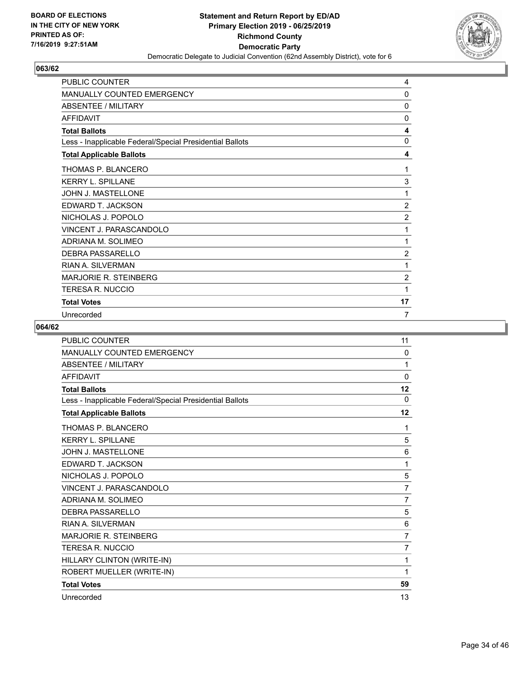

| <b>PUBLIC COUNTER</b>                                    | 4              |
|----------------------------------------------------------|----------------|
| MANUALLY COUNTED EMERGENCY                               | 0              |
| <b>ABSENTEE / MILITARY</b>                               | 0              |
| <b>AFFIDAVIT</b>                                         | $\mathbf{0}$   |
| <b>Total Ballots</b>                                     | 4              |
| Less - Inapplicable Federal/Special Presidential Ballots | 0              |
| <b>Total Applicable Ballots</b>                          | 4              |
| THOMAS P. BLANCERO                                       | 1              |
| <b>KERRY L. SPILLANE</b>                                 | 3              |
| JOHN J. MASTELLONE                                       | 1              |
| EDWARD T. JACKSON                                        | $\overline{2}$ |
| NICHOLAS J. POPOLO                                       | $\overline{2}$ |
| <b>VINCENT J. PARASCANDOLO</b>                           | 1              |
| ADRIANA M. SOLIMEO                                       | 1              |
| DEBRA PASSARELLO                                         | 2              |
| <b>RIAN A. SILVERMAN</b>                                 | 1              |
| <b>MARJORIE R. STEINBERG</b>                             | $\overline{2}$ |
| TERESA R. NUCCIO                                         | 1              |
| <b>Total Votes</b>                                       | 17             |
| Unrecorded                                               | $\overline{7}$ |

| <b>PUBLIC COUNTER</b>                                    | 11             |
|----------------------------------------------------------|----------------|
| <b>MANUALLY COUNTED EMERGENCY</b>                        | 0              |
| <b>ABSENTEE / MILITARY</b>                               | 1              |
| <b>AFFIDAVIT</b>                                         | $\mathbf 0$    |
| <b>Total Ballots</b>                                     | 12             |
| Less - Inapplicable Federal/Special Presidential Ballots | $\Omega$       |
| <b>Total Applicable Ballots</b>                          | 12             |
| THOMAS P. BLANCERO                                       | 1              |
| <b>KERRY L. SPILLANE</b>                                 | 5              |
| JOHN J. MASTELLONE                                       | 6              |
| EDWARD T. JACKSON                                        | 1              |
| NICHOLAS J. POPOLO                                       | 5              |
| VINCENT J. PARASCANDOLO                                  | $\overline{7}$ |
| ADRIANA M. SOLIMEO                                       | $\overline{7}$ |
| <b>DEBRA PASSARELLO</b>                                  | 5              |
| <b>RIAN A. SILVERMAN</b>                                 | 6              |
| <b>MARJORIE R. STEINBERG</b>                             | $\overline{7}$ |
| <b>TERESA R. NUCCIO</b>                                  | 7              |
| HILLARY CLINTON (WRITE-IN)                               | 1              |
| ROBERT MUELLER (WRITE-IN)                                | 1              |
| <b>Total Votes</b>                                       | 59             |
| Unrecorded                                               | 13             |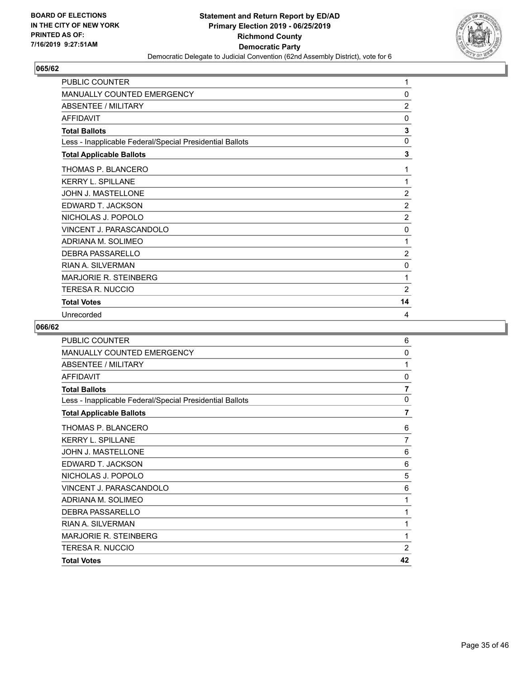

| <b>PUBLIC COUNTER</b>                                    | 1              |
|----------------------------------------------------------|----------------|
| MANUALLY COUNTED EMERGENCY                               | 0              |
| ABSENTEE / MILITARY                                      | $\overline{2}$ |
| <b>AFFIDAVIT</b>                                         | 0              |
| <b>Total Ballots</b>                                     | 3              |
| Less - Inapplicable Federal/Special Presidential Ballots | $\mathbf 0$    |
| <b>Total Applicable Ballots</b>                          | 3              |
| THOMAS P. BLANCERO                                       | 1              |
| <b>KERRY L. SPILLANE</b>                                 | 1              |
| JOHN J. MASTELLONE                                       | $\overline{2}$ |
| EDWARD T. JACKSON                                        | $\overline{2}$ |
| NICHOLAS J. POPOLO                                       | $\overline{2}$ |
| <b>VINCENT J. PARASCANDOLO</b>                           | $\mathbf{0}$   |
| ADRIANA M. SOLIMEO                                       | 1              |
| DEBRA PASSARELLO                                         | 2              |
| <b>RIAN A. SILVERMAN</b>                                 | 0              |
| <b>MARJORIE R. STEINBERG</b>                             | 1              |
| <b>TERESA R. NUCCIO</b>                                  | $\overline{2}$ |
| <b>Total Votes</b>                                       | 14             |
| Unrecorded                                               | 4              |

| <b>Total Votes</b>                                       | 42             |
|----------------------------------------------------------|----------------|
| TERESA R. NUCCIO                                         | $\overline{2}$ |
| <b>MARJORIE R. STEINBERG</b>                             | 1              |
| <b>RIAN A. SILVERMAN</b>                                 | 1              |
| <b>DEBRA PASSARELLO</b>                                  | 1              |
| ADRIANA M. SOLIMEO                                       | 1              |
| VINCENT J. PARASCANDOLO                                  | 6              |
| NICHOLAS J. POPOLO                                       | 5              |
| EDWARD T. JACKSON                                        | 6              |
| <b>JOHN J. MASTELLONE</b>                                | 6              |
| <b>KERRY L. SPILLANE</b>                                 | 7              |
| THOMAS P. BLANCERO                                       | 6              |
| <b>Total Applicable Ballots</b>                          | $\overline{7}$ |
| Less - Inapplicable Federal/Special Presidential Ballots | $\mathbf{0}$   |
| <b>Total Ballots</b>                                     | $\overline{7}$ |
| <b>AFFIDAVIT</b>                                         | 0              |
| <b>ABSENTEE / MILITARY</b>                               | 1              |
| <b>MANUALLY COUNTED EMERGENCY</b>                        | $\mathbf 0$    |
| <b>PUBLIC COUNTER</b>                                    | 6              |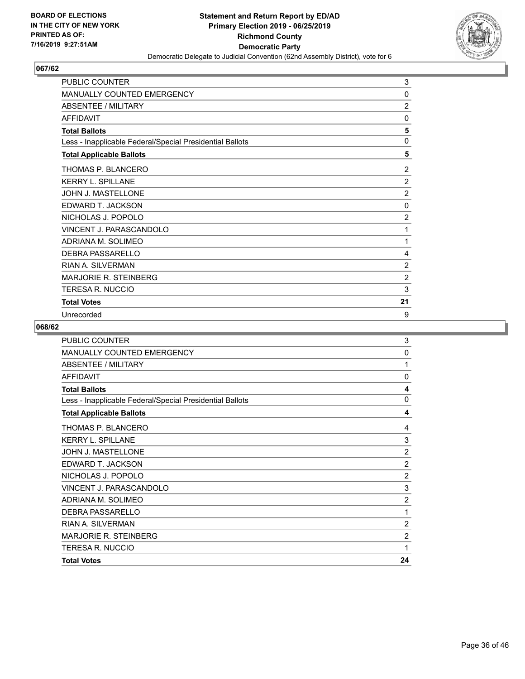

| <b>PUBLIC COUNTER</b>                                    | 3              |
|----------------------------------------------------------|----------------|
| MANUALLY COUNTED EMERGENCY                               | 0              |
| ABSENTEE / MILITARY                                      | $\overline{2}$ |
| <b>AFFIDAVIT</b>                                         | $\mathbf{0}$   |
| <b>Total Ballots</b>                                     | 5              |
| Less - Inapplicable Federal/Special Presidential Ballots | $\mathbf 0$    |
| <b>Total Applicable Ballots</b>                          | 5              |
| THOMAS P. BLANCERO                                       | 2              |
| <b>KERRY L. SPILLANE</b>                                 | $\overline{2}$ |
| JOHN J. MASTELLONE                                       | $\overline{2}$ |
| EDWARD T. JACKSON                                        | $\mathbf 0$    |
| NICHOLAS J. POPOLO                                       | $\overline{2}$ |
| <b>VINCENT J. PARASCANDOLO</b>                           | 1              |
| ADRIANA M. SOLIMEO                                       | 1              |
| DEBRA PASSARELLO                                         | 4              |
| <b>RIAN A. SILVERMAN</b>                                 | $\overline{2}$ |
| <b>MARJORIE R. STEINBERG</b>                             | $\overline{2}$ |
| TERESA R. NUCCIO                                         | 3              |
| <b>Total Votes</b>                                       | 21             |
| Unrecorded                                               | 9              |

| <b>PUBLIC COUNTER</b>                                    | 3              |
|----------------------------------------------------------|----------------|
| <b>MANUALLY COUNTED EMERGENCY</b>                        | 0              |
| <b>ABSENTEE / MILITARY</b>                               | 1              |
| AFFIDAVIT                                                | 0              |
| <b>Total Ballots</b>                                     | 4              |
| Less - Inapplicable Federal/Special Presidential Ballots | 0              |
| <b>Total Applicable Ballots</b>                          | 4              |
| THOMAS P. BLANCERO                                       | 4              |
| <b>KERRY L. SPILLANE</b>                                 | 3              |
| JOHN J. MASTELLONE                                       | $\overline{2}$ |
| EDWARD T. JACKSON                                        | $\overline{2}$ |
| NICHOLAS J. POPOLO                                       | $\overline{2}$ |
| VINCENT J. PARASCANDOLO                                  | 3              |
| ADRIANA M. SOLIMEO                                       | $\overline{2}$ |
| DEBRA PASSARELLO                                         | 1              |
| <b>RIAN A. SILVERMAN</b>                                 | $\overline{2}$ |
| <b>MARJORIE R. STEINBERG</b>                             | $\overline{2}$ |
| <b>TERESA R. NUCCIO</b>                                  | 1              |
| <b>Total Votes</b>                                       | 24             |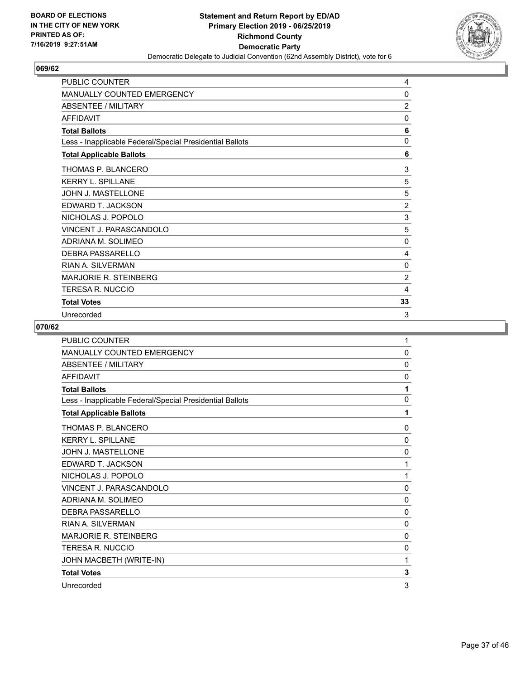

| <b>PUBLIC COUNTER</b>                                    | 4              |
|----------------------------------------------------------|----------------|
| MANUALLY COUNTED EMERGENCY                               | 0              |
| ABSENTEE / MILITARY                                      | $\overline{2}$ |
| <b>AFFIDAVIT</b>                                         | $\Omega$       |
| <b>Total Ballots</b>                                     | 6              |
| Less - Inapplicable Federal/Special Presidential Ballots | 0              |
| <b>Total Applicable Ballots</b>                          | 6              |
| THOMAS P. BLANCERO                                       | 3              |
| <b>KERRY L. SPILLANE</b>                                 | 5              |
| JOHN J. MASTELLONE                                       | 5              |
| EDWARD T. JACKSON                                        | $\overline{c}$ |
| NICHOLAS J. POPOLO                                       | 3              |
| <b>VINCENT J. PARASCANDOLO</b>                           | 5              |
| ADRIANA M. SOLIMEO                                       | $\mathbf 0$    |
| DEBRA PASSARELLO                                         | 4              |
| <b>RIAN A. SILVERMAN</b>                                 | 0              |
| <b>MARJORIE R. STEINBERG</b>                             | $\overline{2}$ |
| TERESA R. NUCCIO                                         | 4              |
| <b>Total Votes</b>                                       | 33             |
| Unrecorded                                               | 3              |

| <b>PUBLIC COUNTER</b>                                    | 1            |
|----------------------------------------------------------|--------------|
| <b>MANUALLY COUNTED EMERGENCY</b>                        | $\mathbf{0}$ |
| <b>ABSENTEE / MILITARY</b>                               | $\mathbf{0}$ |
| AFFIDAVIT                                                | 0            |
| <b>Total Ballots</b>                                     | 1            |
| Less - Inapplicable Federal/Special Presidential Ballots | $\mathbf{0}$ |
| <b>Total Applicable Ballots</b>                          | 1            |
| THOMAS P. BLANCERO                                       | $\mathbf{0}$ |
| <b>KERRY L. SPILLANE</b>                                 | 0            |
| JOHN J. MASTELLONE                                       | $\mathbf{0}$ |
| EDWARD T. JACKSON                                        | 1            |
| NICHOLAS J. POPOLO                                       | 1            |
| VINCENT J. PARASCANDOLO                                  | $\mathbf{0}$ |
| ADRIANA M. SOLIMEO                                       | $\mathbf{0}$ |
| DEBRA PASSARELLO                                         | $\mathbf{0}$ |
| RIAN A. SII VERMAN                                       | $\mathbf{0}$ |
| MARJORIF R. STEINBERG                                    | $\mathbf{0}$ |
| <b>TERESA R. NUCCIO</b>                                  | 0            |
| JOHN MACBETH (WRITE-IN)                                  | 1            |
| <b>Total Votes</b>                                       | 3            |
| Unrecorded                                               | 3            |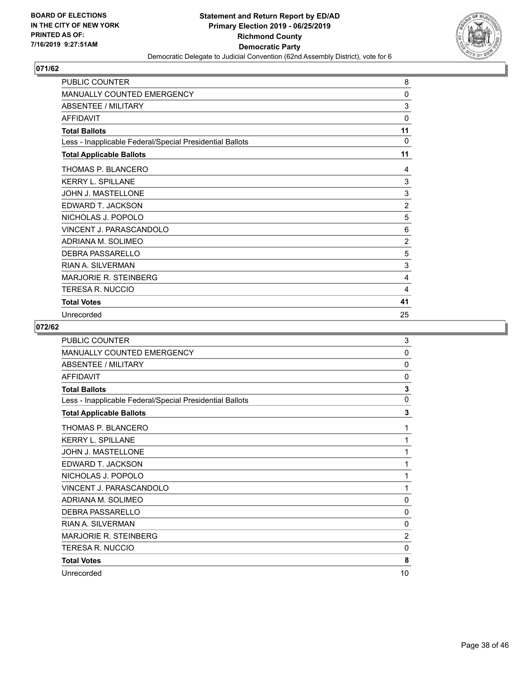

| <b>PUBLIC COUNTER</b>                                    | 8              |
|----------------------------------------------------------|----------------|
| <b>MANUALLY COUNTED EMERGENCY</b>                        | 0              |
| <b>ABSENTEE / MILITARY</b>                               | 3              |
| <b>AFFIDAVIT</b>                                         | 0              |
| <b>Total Ballots</b>                                     | 11             |
| Less - Inapplicable Federal/Special Presidential Ballots | $\Omega$       |
| <b>Total Applicable Ballots</b>                          | 11             |
| THOMAS P. BLANCERO                                       | 4              |
| <b>KERRY L. SPILLANE</b>                                 | 3              |
| JOHN J. MASTELLONE                                       | 3              |
| EDWARD T. JACKSON                                        | $\overline{2}$ |
| NICHOLAS J. POPOLO                                       | 5              |
| VINCENT J. PARASCANDOLO                                  | 6              |
| ADRIANA M. SOLIMEO                                       | $\overline{2}$ |
| <b>DEBRA PASSARELLO</b>                                  | 5              |
| RIAN A. SILVERMAN                                        | 3              |
| <b>MARJORIE R. STEINBERG</b>                             | 4              |
| TERESA R. NUCCIO                                         | 4              |
| <b>Total Votes</b>                                       | 41             |
| Unrecorded                                               | 25             |

| PUBLIC COUNTER                                           | 3              |
|----------------------------------------------------------|----------------|
| <b>MANUALLY COUNTED EMERGENCY</b>                        | 0              |
| <b>ABSENTEE / MILITARY</b>                               | 0              |
| <b>AFFIDAVIT</b>                                         | $\mathbf{0}$   |
| <b>Total Ballots</b>                                     | 3              |
| Less - Inapplicable Federal/Special Presidential Ballots | $\mathbf{0}$   |
| <b>Total Applicable Ballots</b>                          | 3              |
| THOMAS P. BLANCERO                                       | 1              |
| <b>KERRY L. SPILLANE</b>                                 | 1              |
| <b>JOHN J. MASTELLONE</b>                                | 1              |
| EDWARD T. JACKSON                                        | 1              |
| NICHOLAS J. POPOLO                                       | 1              |
| VINCENT J. PARASCANDOLO                                  | 1              |
| ADRIANA M. SOLIMEO                                       | $\mathbf{0}$   |
| DEBRA PASSARELLO                                         | $\mathbf{0}$   |
| <b>RIAN A. SILVERMAN</b>                                 | 0              |
| MARJORIE R. STEINBERG                                    | $\overline{2}$ |
| TERESA R. NUCCIO                                         | $\mathbf{0}$   |
| <b>Total Votes</b>                                       | 8              |
| Unrecorded                                               | 10             |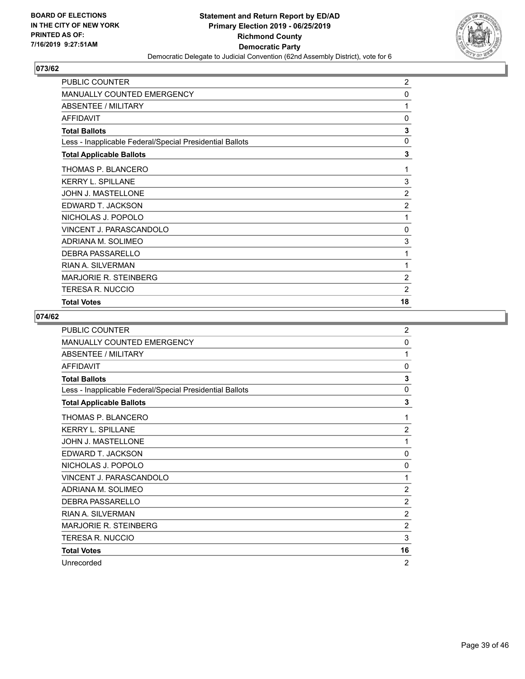

| PUBLIC COUNTER                                           | $\overline{c}$ |
|----------------------------------------------------------|----------------|
| <b>MANUALLY COUNTED EMERGENCY</b>                        | 0              |
| ABSENTEE / MILITARY                                      | 1              |
| <b>AFFIDAVIT</b>                                         | 0              |
| <b>Total Ballots</b>                                     | 3              |
| Less - Inapplicable Federal/Special Presidential Ballots | 0              |
| <b>Total Applicable Ballots</b>                          | 3              |
| THOMAS P. BLANCERO                                       | 1              |
| <b>KERRY L. SPILLANE</b>                                 | 3              |
| JOHN J. MASTELLONE                                       | $\overline{2}$ |
| EDWARD T. JACKSON                                        | $\overline{2}$ |
| NICHOLAS J. POPOLO                                       | 1              |
| VINCENT J. PARASCANDOLO                                  | 0              |
| ADRIANA M. SOLIMEO                                       | 3              |
| <b>DEBRA PASSARELLO</b>                                  | 1              |
| <b>RIAN A. SILVERMAN</b>                                 | 1              |
| MARJORIE R. STEINBERG                                    | $\overline{2}$ |
| TERESA R. NUCCIO                                         | $\overline{2}$ |
| <b>Total Votes</b>                                       | 18             |

| PUBLIC COUNTER                                           | $\overline{2}$ |
|----------------------------------------------------------|----------------|
| <b>MANUALLY COUNTED EMERGENCY</b>                        | 0              |
| ABSENTEE / MILITARY                                      | 1              |
| <b>AFFIDAVIT</b>                                         | $\mathbf{0}$   |
| <b>Total Ballots</b>                                     | 3              |
| Less - Inapplicable Federal/Special Presidential Ballots | 0              |
| <b>Total Applicable Ballots</b>                          | 3              |
| THOMAS P. BLANCERO                                       | 1              |
| <b>KERRY L. SPILLANE</b>                                 | $\overline{2}$ |
| <b>JOHN J. MASTELLONE</b>                                | 1              |
| EDWARD T. JACKSON                                        | 0              |
| NICHOLAS J. POPOLO                                       | $\mathbf{0}$   |
| VINCENT J. PARASCANDOLO                                  | 1              |
| ADRIANA M. SOLIMEO                                       | $\overline{2}$ |
| DEBRA PASSARELLO                                         | $\overline{2}$ |
| <b>RIAN A. SILVERMAN</b>                                 | $\overline{2}$ |
| <b>MARJORIE R. STEINBERG</b>                             | $\overline{2}$ |
| <b>TERESA R. NUCCIO</b>                                  | 3              |
| <b>Total Votes</b>                                       | 16             |
| Unrecorded                                               | $\overline{2}$ |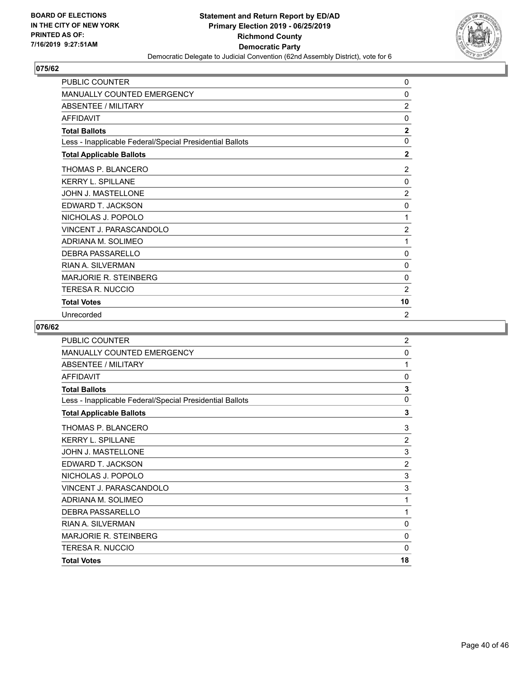

| PUBLIC COUNTER                                           | 0              |
|----------------------------------------------------------|----------------|
| <b>MANUALLY COUNTED EMERGENCY</b>                        | 0              |
| ABSENTEE / MILITARY                                      | $\overline{2}$ |
| <b>AFFIDAVIT</b>                                         | $\Omega$       |
| <b>Total Ballots</b>                                     | $\mathbf{2}$   |
| Less - Inapplicable Federal/Special Presidential Ballots | $\Omega$       |
| <b>Total Applicable Ballots</b>                          | $\mathbf{2}$   |
| THOMAS P. BLANCERO                                       | 2              |
| <b>KERRY L. SPILLANE</b>                                 | 0              |
| JOHN J. MASTELLONE                                       | 2              |
| EDWARD T. JACKSON                                        | 0              |
| NICHOLAS J. POPOLO                                       | 1              |
| <b>VINCENT J. PARASCANDOLO</b>                           | $\overline{2}$ |
| ADRIANA M. SOLIMEO                                       | 1              |
| <b>DEBRA PASSARELLO</b>                                  | 0              |
| RIAN A. SILVERMAN                                        | 0              |
| <b>MARJORIE R. STEINBERG</b>                             | 0              |
| TERESA R. NUCCIO                                         | 2              |
| <b>Total Votes</b>                                       | 10             |
| Unrecorded                                               | $\overline{2}$ |

| <b>PUBLIC COUNTER</b>                                    | $\overline{2}$ |
|----------------------------------------------------------|----------------|
| <b>MANUALLY COUNTED EMERGENCY</b>                        | $\mathbf 0$    |
| <b>ABSENTEE / MILITARY</b>                               | 1              |
| <b>AFFIDAVIT</b>                                         | 0              |
| <b>Total Ballots</b>                                     | 3              |
| Less - Inapplicable Federal/Special Presidential Ballots | $\mathbf{0}$   |
| <b>Total Applicable Ballots</b>                          | 3              |
| THOMAS P. BLANCERO                                       | 3              |
| <b>KERRY L. SPILLANE</b>                                 | $\overline{2}$ |
| <b>JOHN J. MASTELLONE</b>                                | 3              |
| EDWARD T. JACKSON                                        | $\overline{2}$ |
| NICHOLAS J. POPOLO                                       | 3              |
| VINCENT J. PARASCANDOLO                                  | 3              |
| ADRIANA M. SOLIMEO                                       | 1              |
| <b>DEBRA PASSARELLO</b>                                  | 1              |
| <b>RIAN A. SILVERMAN</b>                                 | $\mathbf{0}$   |
| <b>MARJORIE R. STEINBERG</b>                             | $\mathbf{0}$   |
| <b>TERESA R. NUCCIO</b>                                  | $\mathbf{0}$   |
| <b>Total Votes</b>                                       | 18             |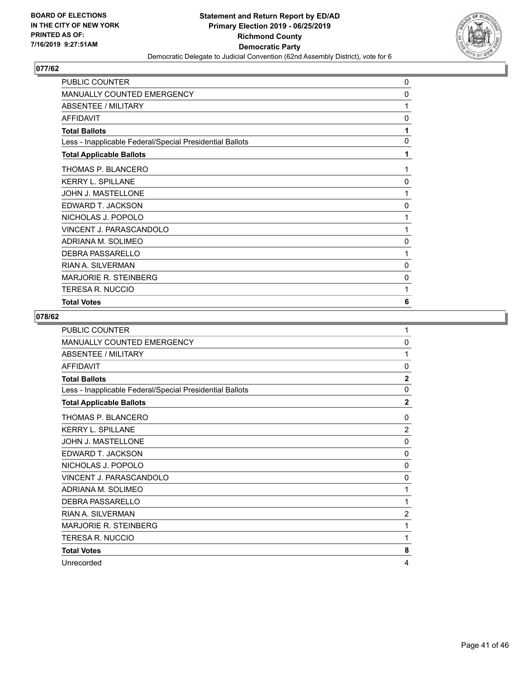

| PUBLIC COUNTER                                           | 0 |
|----------------------------------------------------------|---|
| <b>MANUALLY COUNTED EMERGENCY</b>                        | 0 |
| <b>ABSENTEE / MILITARY</b>                               | 1 |
| <b>AFFIDAVIT</b>                                         | 0 |
| <b>Total Ballots</b>                                     | 1 |
| Less - Inapplicable Federal/Special Presidential Ballots | 0 |
| <b>Total Applicable Ballots</b>                          | 1 |
| THOMAS P. BLANCERO                                       | 1 |
| <b>KERRY L. SPILLANE</b>                                 | 0 |
| JOHN J. MASTELLONE                                       | 1 |
| EDWARD T. JACKSON                                        | 0 |
| NICHOLAS J. POPOLO                                       | 1 |
| <b>VINCENT J. PARASCANDOLO</b>                           | 1 |
| ADRIANA M. SOLIMEO                                       | 0 |
| DEBRA PASSARELLO                                         | 1 |
| <b>RIAN A. SILVERMAN</b>                                 | 0 |
| <b>MARJORIE R. STEINBERG</b>                             | 0 |
| TERESA R. NUCCIO                                         | 1 |
| <b>Total Votes</b>                                       | 6 |

| <b>PUBLIC COUNTER</b>                                    | 1              |
|----------------------------------------------------------|----------------|
| MANUALLY COUNTED EMERGENCY                               | 0              |
| ABSENTEE / MILITARY                                      | 1              |
| <b>AFFIDAVIT</b>                                         | $\mathbf{0}$   |
| <b>Total Ballots</b>                                     | $\mathbf{2}$   |
| Less - Inapplicable Federal/Special Presidential Ballots | $\mathbf{0}$   |
| <b>Total Applicable Ballots</b>                          | $\overline{2}$ |
| THOMAS P. BLANCERO                                       | 0              |
| <b>KERRY L. SPILLANE</b>                                 | $\overline{2}$ |
| <b>JOHN J. MASTELLONE</b>                                | $\mathbf{0}$   |
| EDWARD T. JACKSON                                        | 0              |
| NICHOLAS J. POPOLO                                       | $\mathbf{0}$   |
| VINCENT J. PARASCANDOLO                                  | $\mathbf{0}$   |
| ADRIANA M. SOLIMEO                                       | 1              |
| <b>DEBRA PASSARELLO</b>                                  | 1              |
| <b>RIAN A. SILVERMAN</b>                                 | $\overline{2}$ |
| MARJORIE R. STEINBERG                                    | 1              |
| <b>TERESA R. NUCCIO</b>                                  | 1              |
| <b>Total Votes</b>                                       | 8              |
| Unrecorded                                               | 4              |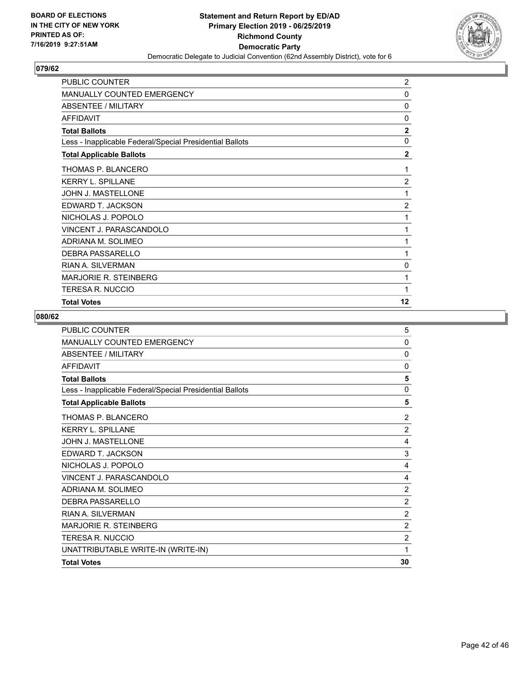

| PUBLIC COUNTER                                           | $\overline{2}$ |
|----------------------------------------------------------|----------------|
| <b>MANUALLY COUNTED EMERGENCY</b>                        | 0              |
| ABSENTEE / MILITARY                                      | 0              |
| <b>AFFIDAVIT</b>                                         | 0              |
| <b>Total Ballots</b>                                     | $\overline{2}$ |
| Less - Inapplicable Federal/Special Presidential Ballots | $\mathbf{0}$   |
| <b>Total Applicable Ballots</b>                          | $\mathbf{2}$   |
| THOMAS P. BLANCERO                                       | 1              |
| <b>KERRY L. SPILLANE</b>                                 | $\overline{2}$ |
| JOHN J. MASTELLONE                                       | 1              |
| EDWARD T. JACKSON                                        | $\overline{2}$ |
| NICHOLAS J. POPOLO                                       | 1              |
| VINCENT J. PARASCANDOLO                                  | 1              |
| ADRIANA M. SOLIMEO                                       | 1              |
| <b>DEBRA PASSARELLO</b>                                  | 1              |
| <b>RIAN A. SILVERMAN</b>                                 | 0              |
| MARJORIE R. STEINBERG                                    | 1              |
| <b>TERESA R. NUCCIO</b>                                  | 1              |
| <b>Total Votes</b>                                       | 12             |

| <b>PUBLIC COUNTER</b>                                    | 5              |
|----------------------------------------------------------|----------------|
| MANUALLY COUNTED EMERGENCY                               | 0              |
| ABSENTEE / MILITARY                                      | $\mathbf{0}$   |
| <b>AFFIDAVIT</b>                                         | $\Omega$       |
| <b>Total Ballots</b>                                     | 5              |
| Less - Inapplicable Federal/Special Presidential Ballots | 0              |
| <b>Total Applicable Ballots</b>                          | 5              |
| THOMAS P. BLANCERO                                       | $\overline{2}$ |
| <b>KERRY L. SPILLANE</b>                                 | $\overline{2}$ |
| JOHN J. MASTELLONE                                       | 4              |
| EDWARD T. JACKSON                                        | 3              |
| NICHOLAS J. POPOLO                                       | 4              |
| <b>VINCENT J. PARASCANDOLO</b>                           | 4              |
| ADRIANA M. SOLIMEO                                       | $\overline{2}$ |
| <b>DEBRA PASSARELLO</b>                                  | $\overline{2}$ |
| <b>RIAN A. SILVERMAN</b>                                 | $\overline{2}$ |
| <b>MARJORIE R. STEINBERG</b>                             | $\overline{2}$ |
| <b>TERESA R. NUCCIO</b>                                  | $\overline{2}$ |
| UNATTRIBUTABLE WRITE-IN (WRITE-IN)                       | 1              |
| <b>Total Votes</b>                                       | 30             |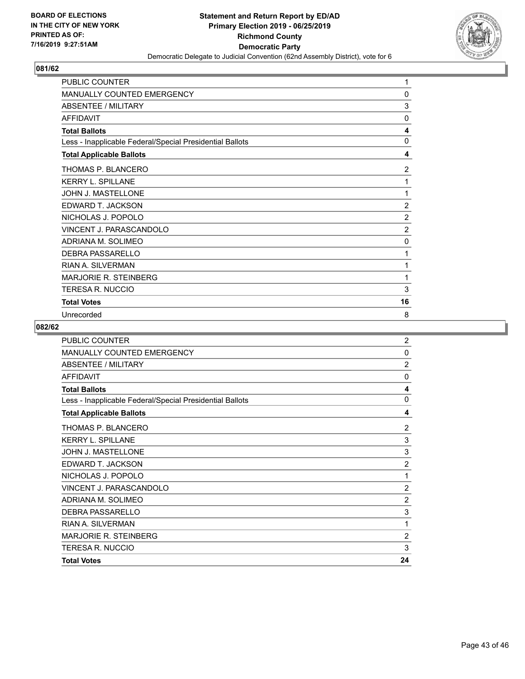

| <b>PUBLIC COUNTER</b>                                    | 1              |
|----------------------------------------------------------|----------------|
| MANUALLY COUNTED EMERGENCY                               | 0              |
| ABSENTEE / MILITARY                                      | 3              |
| <b>AFFIDAVIT</b>                                         | $\mathbf{0}$   |
| <b>Total Ballots</b>                                     | 4              |
| Less - Inapplicable Federal/Special Presidential Ballots | 0              |
| <b>Total Applicable Ballots</b>                          | 4              |
| THOMAS P. BLANCERO                                       | $\overline{c}$ |
| <b>KERRY L. SPILLANE</b>                                 | 1              |
| JOHN J. MASTELLONE                                       | 1              |
| EDWARD T. JACKSON                                        | $\overline{2}$ |
| NICHOLAS J. POPOLO                                       | $\overline{2}$ |
| VINCENT J. PARASCANDOLO                                  | $\overline{2}$ |
| ADRIANA M. SOLIMEO                                       | $\mathbf 0$    |
| DEBRA PASSARELLO                                         | 1              |
| <b>RIAN A. SILVERMAN</b>                                 | 1              |
| <b>MARJORIE R. STEINBERG</b>                             | 1              |
| TERESA R. NUCCIO                                         | 3              |
| <b>Total Votes</b>                                       | 16             |
| Unrecorded                                               | 8              |

| <b>PUBLIC COUNTER</b>                                    | $\overline{2}$ |
|----------------------------------------------------------|----------------|
| <b>MANUALLY COUNTED EMERGENCY</b>                        | 0              |
| <b>ABSENTEE / MILITARY</b>                               | $\overline{2}$ |
| AFFIDAVIT                                                | 0              |
| <b>Total Ballots</b>                                     | 4              |
| Less - Inapplicable Federal/Special Presidential Ballots | 0              |
| <b>Total Applicable Ballots</b>                          | 4              |
| THOMAS P. BLANCERO                                       | $\overline{2}$ |
| <b>KERRY L. SPILLANE</b>                                 | 3              |
| JOHN J. MASTELLONE                                       | 3              |
| EDWARD T. JACKSON                                        | $\overline{2}$ |
| NICHOLAS J. POPOLO                                       | 1              |
| VINCENT J. PARASCANDOLO                                  | $\overline{2}$ |
| ADRIANA M. SOLIMEO                                       | $\overline{2}$ |
| DEBRA PASSARELLO                                         | 3              |
| <b>RIAN A. SILVERMAN</b>                                 | 1              |
| <b>MARJORIE R. STEINBERG</b>                             | $\overline{2}$ |
| <b>TERESA R. NUCCIO</b>                                  | 3              |
| <b>Total Votes</b>                                       | 24             |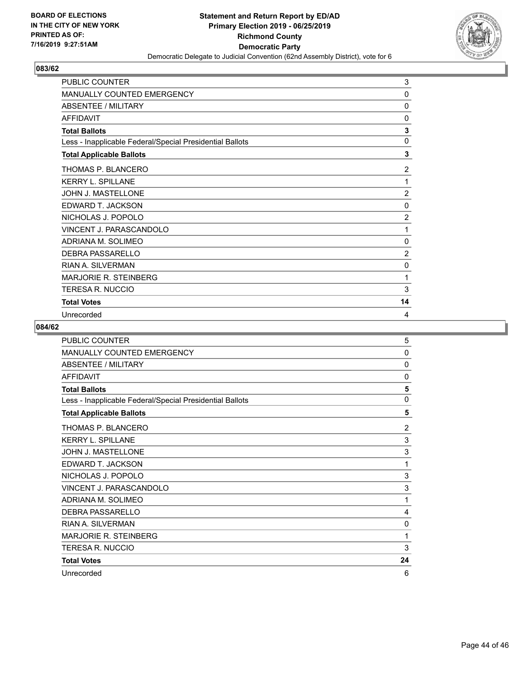

| PUBLIC COUNTER                                           | 3              |
|----------------------------------------------------------|----------------|
| <b>MANUALLY COUNTED EMERGENCY</b>                        | 0              |
| <b>ABSENTEE / MILITARY</b>                               | $\mathbf{0}$   |
| <b>AFFIDAVIT</b>                                         | 0              |
| <b>Total Ballots</b>                                     | 3              |
| Less - Inapplicable Federal/Special Presidential Ballots | $\mathbf 0$    |
| <b>Total Applicable Ballots</b>                          | 3              |
| THOMAS P. BLANCERO                                       | 2              |
| <b>KERRY L. SPILLANE</b>                                 | 1              |
| JOHN J. MASTELLONE                                       | $\overline{2}$ |
| EDWARD T. JACKSON                                        | 0              |
| NICHOLAS J. POPOLO                                       | $\overline{2}$ |
| <b>VINCENT J. PARASCANDOLO</b>                           | 1              |
| ADRIANA M. SOLIMEO                                       | 0              |
| <b>DEBRA PASSARELLO</b>                                  | 2              |
| RIAN A. SILVERMAN                                        | 0              |
| <b>MARJORIE R. STEINBERG</b>                             | 1              |
| TERESA R. NUCCIO                                         | 3              |
| <b>Total Votes</b>                                       | 14             |
| Unrecorded                                               | 4              |

| PUBLIC COUNTER                                           | 5            |
|----------------------------------------------------------|--------------|
| MANUALLY COUNTED EMERGENCY                               | 0            |
| <b>ABSENTEE / MILITARY</b>                               | $\mathbf{0}$ |
| <b>AFFIDAVIT</b>                                         | $\mathbf{0}$ |
| <b>Total Ballots</b>                                     | 5            |
| Less - Inapplicable Federal/Special Presidential Ballots | $\mathbf{0}$ |
| <b>Total Applicable Ballots</b>                          | 5            |
| THOMAS P. BLANCERO                                       | 2            |
| <b>KERRY L. SPILLANE</b>                                 | 3            |
| <b>JOHN J. MASTELLONE</b>                                | 3            |
| EDWARD T. JACKSON                                        | 1            |
| NICHOLAS J. POPOLO                                       | 3            |
| VINCENT J. PARASCANDOLO                                  | 3            |
| ADRIANA M. SOLIMEO                                       | 1            |
| DEBRA PASSARELLO                                         | 4            |
| <b>RIAN A. SILVERMAN</b>                                 | 0            |
| <b>MARJORIE R. STEINBERG</b>                             | 1            |
| TERESA R. NUCCIO                                         | 3            |
| <b>Total Votes</b>                                       | 24           |
| Unrecorded                                               | 6            |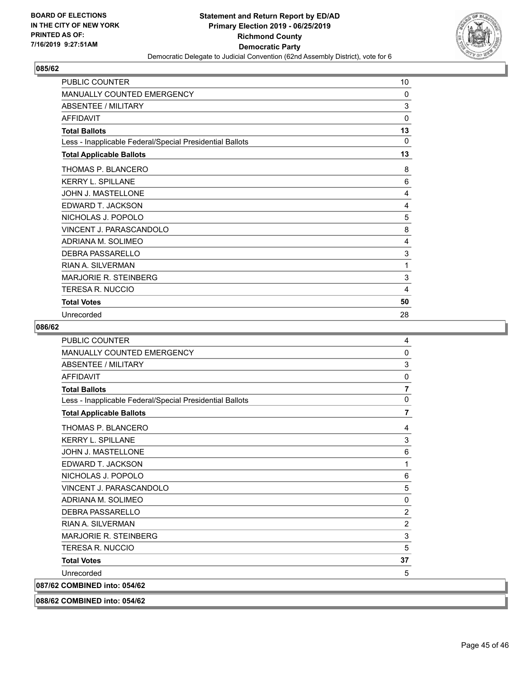

| <b>PUBLIC COUNTER</b>                                    | 10           |
|----------------------------------------------------------|--------------|
| <b>MANUALLY COUNTED EMERGENCY</b>                        | 0            |
| ABSENTEE / MILITARY                                      | 3            |
| <b>AFFIDAVIT</b>                                         | $\mathbf{0}$ |
| <b>Total Ballots</b>                                     | 13           |
| Less - Inapplicable Federal/Special Presidential Ballots | $\Omega$     |
| <b>Total Applicable Ballots</b>                          | 13           |
| THOMAS P. BLANCERO                                       | 8            |
| <b>KERRY L. SPILLANE</b>                                 | 6            |
| JOHN J. MASTELLONE                                       | 4            |
| EDWARD T. JACKSON                                        | 4            |
| NICHOLAS J. POPOLO                                       | 5            |
| VINCENT J. PARASCANDOLO                                  | 8            |
| ADRIANA M. SOLIMEO                                       | 4            |
| <b>DEBRA PASSARELLO</b>                                  | 3            |
| RIAN A. SILVERMAN                                        | 1            |
| <b>MARJORIE R. STEINBERG</b>                             | 3            |
| TERESA R. NUCCIO                                         | 4            |
| <b>Total Votes</b>                                       | 50           |
| Unrecorded                                               | 28           |

| <b>PUBLIC COUNTER</b>                                    | 4                       |
|----------------------------------------------------------|-------------------------|
| MANUALLY COUNTED EMERGENCY                               | $\Omega$                |
| <b>ABSENTEE / MILITARY</b>                               | 3                       |
| <b>AFFIDAVIT</b>                                         | 0                       |
| <b>Total Ballots</b>                                     | $\overline{\mathbf{r}}$ |
| Less - Inapplicable Federal/Special Presidential Ballots | 0                       |
| <b>Total Applicable Ballots</b>                          | $\overline{7}$          |
| THOMAS P. BLANCERO                                       | 4                       |
| KERRY L. SPILLANE                                        | 3                       |
| JOHN J. MASTELLONE                                       | 6                       |
| EDWARD T. JACKSON                                        | 1                       |
| NICHOLAS J. POPOLO                                       | 6                       |
| VINCENT J. PARASCANDOLO                                  | 5                       |
| ADRIANA M. SOLIMEO                                       | 0                       |
| <b>DEBRA PASSARELLO</b>                                  | $\overline{2}$          |
| <b>RIAN A. SII VERMAN</b>                                | $\overline{c}$          |
| <b>MARJORIE R. STEINBERG</b>                             | 3                       |
| TERESA R. NUCCIO                                         | 5                       |
| <b>Total Votes</b>                                       | 37                      |
| Unrecorded                                               | 5                       |
| 087/62 COMBINED into: 054/62                             |                         |
| 088/62 COMBINED into: 054/62                             |                         |